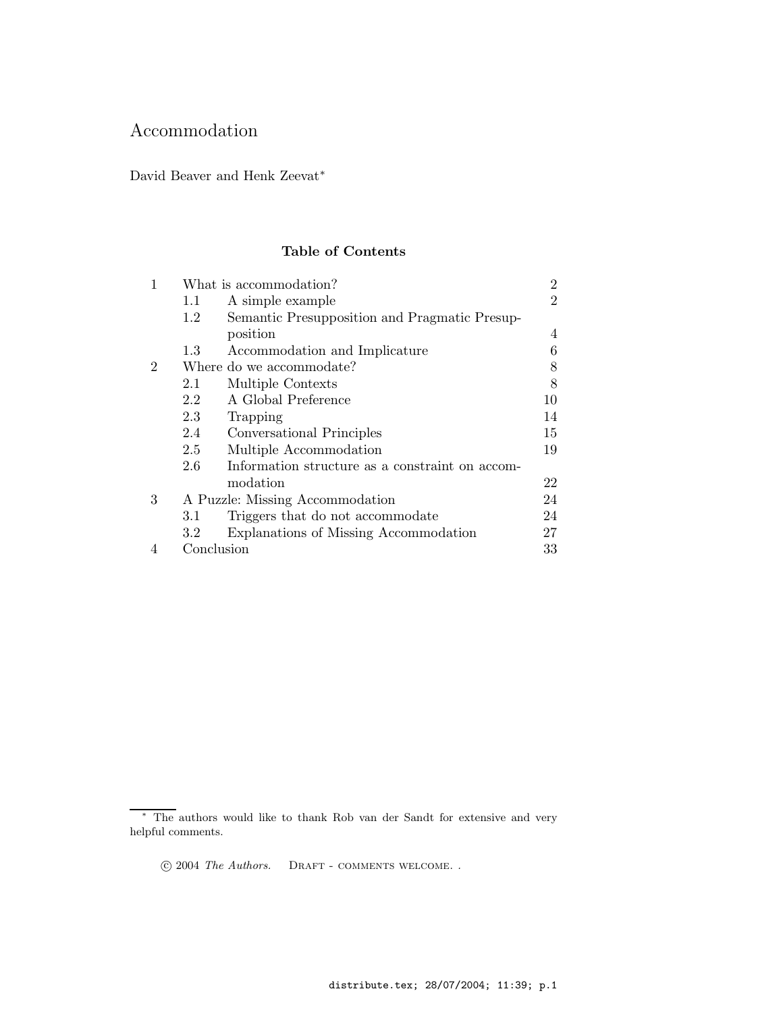# Accommodation

David Beaver and Henk Zeevat<sup>∗</sup>

## Table of Contents

|                | What is accommodation?          |                                                 | 2              |
|----------------|---------------------------------|-------------------------------------------------|----------------|
|                | $1.1\,$                         | A simple example                                | $\overline{2}$ |
|                | 1.2                             | Semantic Presupposition and Pragmatic Presup-   |                |
|                |                                 | position                                        | 4              |
|                | 1.3                             | Accommodation and Implicature                   | 6              |
| $\overline{2}$ |                                 | Where do we accommodate?                        | 8              |
|                | 2.1                             | Multiple Contexts                               | 8              |
|                | 2.2                             | A Global Preference                             | 10             |
|                | 2.3                             | Trapping                                        | 14             |
|                | 2.4                             | Conversational Principles                       | 15             |
|                | 2.5                             | Multiple Accommodation                          | 19             |
|                | 2.6                             | Information structure as a constraint on accom- |                |
|                |                                 | modation                                        | 22             |
| 3              | A Puzzle: Missing Accommodation |                                                 | 24             |
|                | 3.1                             | Triggers that do not accommodate                | 24             |
|                | 3.2                             | Explanations of Missing Accommodation           | 27             |
|                | Conclusion                      |                                                 | 33             |

<sup>∗</sup> The authors would like to thank Rob van der Sandt for extensive and very helpful comments.

c 2004 The Authors. Draft - comments welcome. .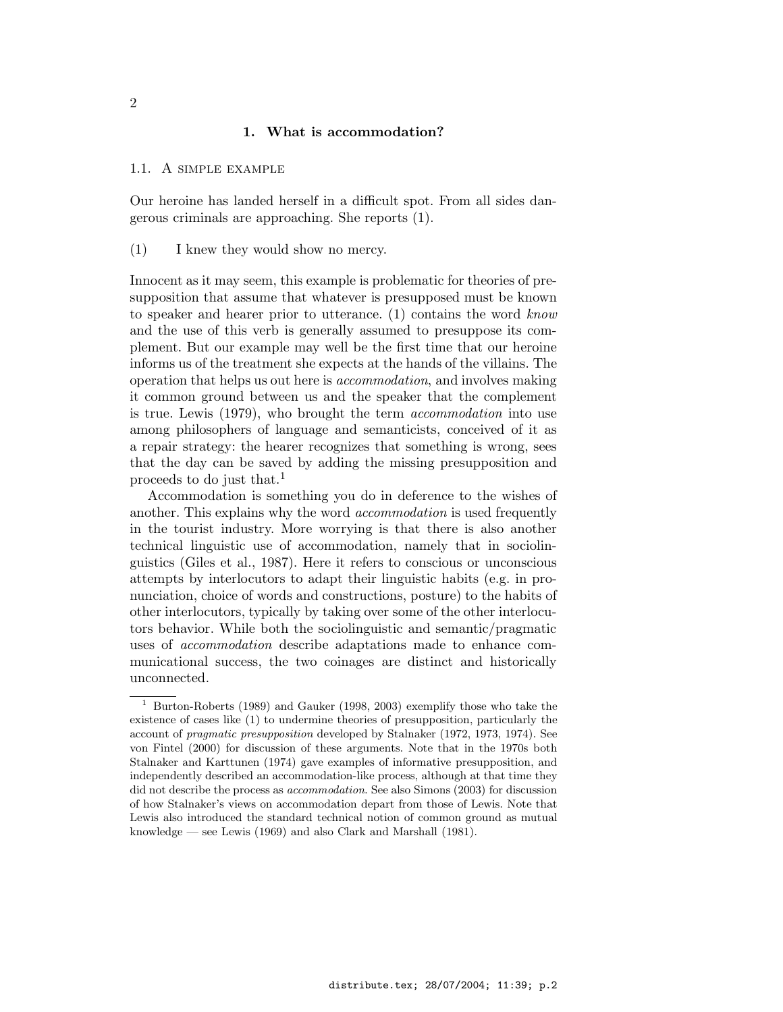### 1. What is accommodation?

### 1.1. A simple example

Our heroine has landed herself in a difficult spot. From all sides dangerous criminals are approaching. She reports (1).

(1) I knew they would show no mercy.

Innocent as it may seem, this example is problematic for theories of presupposition that assume that whatever is presupposed must be known to speaker and hearer prior to utterance. (1) contains the word know and the use of this verb is generally assumed to presuppose its complement. But our example may well be the first time that our heroine informs us of the treatment she expects at the hands of the villains. The operation that helps us out here is accommodation, and involves making it common ground between us and the speaker that the complement is true. Lewis (1979), who brought the term accommodation into use among philosophers of language and semanticists, conceived of it as a repair strategy: the hearer recognizes that something is wrong, sees that the day can be saved by adding the missing presupposition and proceeds to do just that.<sup>1</sup>

Accommodation is something you do in deference to the wishes of another. This explains why the word accommodation is used frequently in the tourist industry. More worrying is that there is also another technical linguistic use of accommodation, namely that in sociolinguistics (Giles et al., 1987). Here it refers to conscious or unconscious attempts by interlocutors to adapt their linguistic habits (e.g. in pronunciation, choice of words and constructions, posture) to the habits of other interlocutors, typically by taking over some of the other interlocutors behavior. While both the sociolinguistic and semantic/pragmatic uses of accommodation describe adaptations made to enhance communicational success, the two coinages are distinct and historically unconnected.

<sup>1</sup> Burton-Roberts (1989) and Gauker (1998, 2003) exemplify those who take the existence of cases like (1) to undermine theories of presupposition, particularly the account of pragmatic presupposition developed by Stalnaker (1972, 1973, 1974). See von Fintel (2000) for discussion of these arguments. Note that in the 1970s both Stalnaker and Karttunen (1974) gave examples of informative presupposition, and independently described an accommodation-like process, although at that time they did not describe the process as accommodation. See also Simons (2003) for discussion of how Stalnaker's views on accommodation depart from those of Lewis. Note that Lewis also introduced the standard technical notion of common ground as mutual knowledge — see Lewis (1969) and also Clark and Marshall (1981).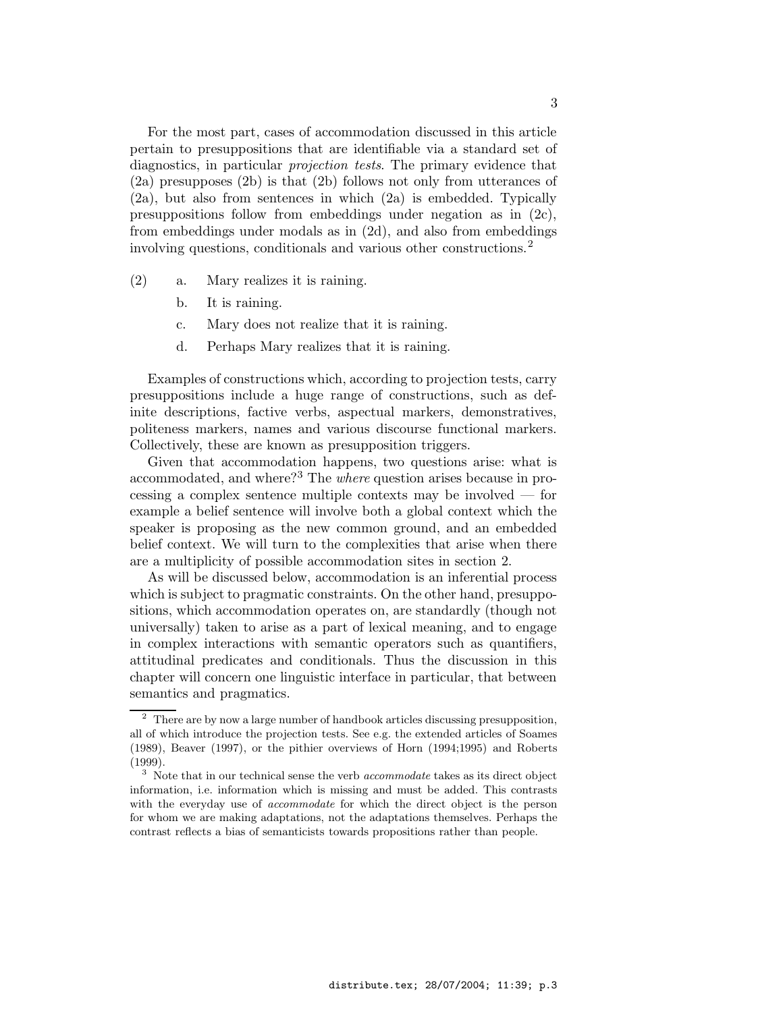For the most part, cases of accommodation discussed in this article pertain to presuppositions that are identifiable via a standard set of diagnostics, in particular *projection tests*. The primary evidence that (2a) presupposes (2b) is that (2b) follows not only from utterances of (2a), but also from sentences in which (2a) is embedded. Typically presuppositions follow from embeddings under negation as in  $(2c)$ , from embeddings under modals as in (2d), and also from embeddings involving questions, conditionals and various other constructions.<sup>2</sup>

- (2) a. Mary realizes it is raining.
	- b. It is raining.
	- c. Mary does not realize that it is raining.
	- d. Perhaps Mary realizes that it is raining.

Examples of constructions which, according to projection tests, carry presuppositions include a huge range of constructions, such as definite descriptions, factive verbs, aspectual markers, demonstratives, politeness markers, names and various discourse functional markers. Collectively, these are known as presupposition triggers.

Given that accommodation happens, two questions arise: what is accommodated, and where?<sup>3</sup> The *where* question arises because in processing a complex sentence multiple contexts may be involved — for example a belief sentence will involve both a global context which the speaker is proposing as the new common ground, and an embedded belief context. We will turn to the complexities that arise when there are a multiplicity of possible accommodation sites in section 2.

As will be discussed below, accommodation is an inferential process which is subject to pragmatic constraints. On the other hand, presuppositions, which accommodation operates on, are standardly (though not universally) taken to arise as a part of lexical meaning, and to engage in complex interactions with semantic operators such as quantifiers, attitudinal predicates and conditionals. Thus the discussion in this chapter will concern one linguistic interface in particular, that between semantics and pragmatics.

<sup>&</sup>lt;sup>2</sup> There are by now a large number of handbook articles discussing presupposition, all of which introduce the projection tests. See e.g. the extended articles of Soames (1989), Beaver (1997), or the pithier overviews of Horn (1994;1995) and Roberts (1999).

 $3$  Note that in our technical sense the verb *accommodate* takes as its direct object information, i.e. information which is missing and must be added. This contrasts with the everyday use of *accommodate* for which the direct object is the person for whom we are making adaptations, not the adaptations themselves. Perhaps the contrast reflects a bias of semanticists towards propositions rather than people.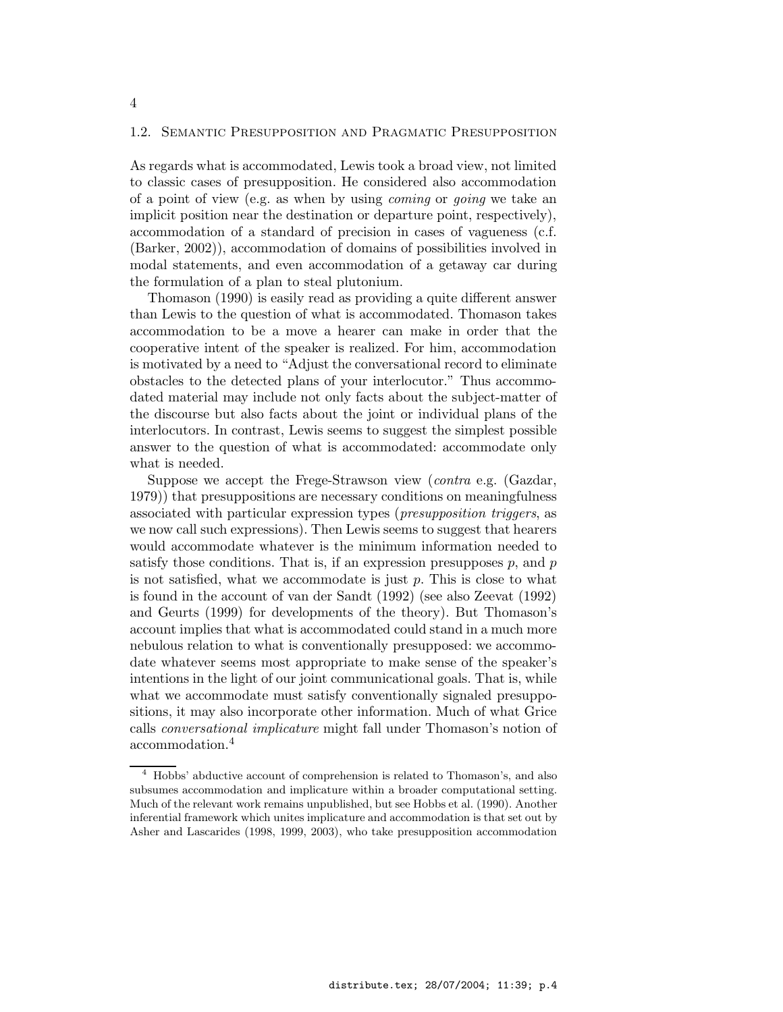### 1.2. Semantic Presupposition and Pragmatic Presupposition

As regards what is accommodated, Lewis took a broad view, not limited to classic cases of presupposition. He considered also accommodation of a point of view (e.g. as when by using coming or going we take an implicit position near the destination or departure point, respectively), accommodation of a standard of precision in cases of vagueness (c.f. (Barker, 2002)), accommodation of domains of possibilities involved in modal statements, and even accommodation of a getaway car during the formulation of a plan to steal plutonium.

Thomason (1990) is easily read as providing a quite different answer than Lewis to the question of what is accommodated. Thomason takes accommodation to be a move a hearer can make in order that the cooperative intent of the speaker is realized. For him, accommodation is motivated by a need to "Adjust the conversational record to eliminate obstacles to the detected plans of your interlocutor." Thus accommodated material may include not only facts about the subject-matter of the discourse but also facts about the joint or individual plans of the interlocutors. In contrast, Lewis seems to suggest the simplest possible answer to the question of what is accommodated: accommodate only what is needed.

Suppose we accept the Frege-Strawson view (contra e.g. (Gazdar, 1979)) that presuppositions are necessary conditions on meaningfulness associated with particular expression types (presupposition triggers, as we now call such expressions). Then Lewis seems to suggest that hearers would accommodate whatever is the minimum information needed to satisfy those conditions. That is, if an expression presupposes  $p$ , and  $p$ is not satisfied, what we accommodate is just  $p$ . This is close to what is found in the account of van der Sandt (1992) (see also Zeevat (1992) and Geurts (1999) for developments of the theory). But Thomason's account implies that what is accommodated could stand in a much more nebulous relation to what is conventionally presupposed: we accommodate whatever seems most appropriate to make sense of the speaker's intentions in the light of our joint communicational goals. That is, while what we accommodate must satisfy conventionally signaled presuppositions, it may also incorporate other information. Much of what Grice calls conversational implicature might fall under Thomason's notion of accommodation.<sup>4</sup>

 $^4\,$  Hobbs' abductive account of comprehension is related to Thomason's, and also subsumes accommodation and implicature within a broader computational setting. Much of the relevant work remains unpublished, but see Hobbs et al. (1990). Another inferential framework which unites implicature and accommodation is that set out by Asher and Lascarides (1998, 1999, 2003), who take presupposition accommodation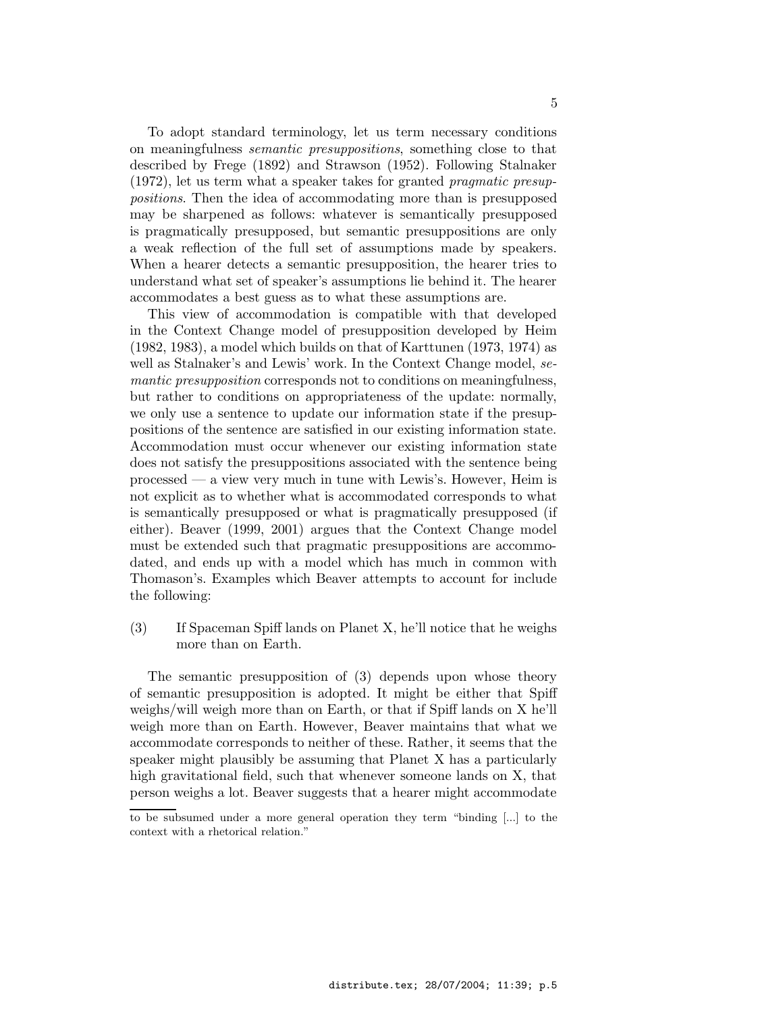To adopt standard terminology, let us term necessary conditions on meaningfulness semantic presuppositions, something close to that described by Frege (1892) and Strawson (1952). Following Stalnaker  $(1972)$ , let us term what a speaker takes for granted *pragmatic presup*positions. Then the idea of accommodating more than is presupposed may be sharpened as follows: whatever is semantically presupposed is pragmatically presupposed, but semantic presuppositions are only a weak reflection of the full set of assumptions made by speakers. When a hearer detects a semantic presupposition, the hearer tries to understand what set of speaker's assumptions lie behind it. The hearer accommodates a best guess as to what these assumptions are.

This view of accommodation is compatible with that developed in the Context Change model of presupposition developed by Heim (1982, 1983), a model which builds on that of Karttunen (1973, 1974) as well as Stalnaker's and Lewis' work. In the Context Change model, semantic presupposition corresponds not to conditions on meaningfulness, but rather to conditions on appropriateness of the update: normally, we only use a sentence to update our information state if the presuppositions of the sentence are satisfied in our existing information state. Accommodation must occur whenever our existing information state does not satisfy the presuppositions associated with the sentence being processed — a view very much in tune with Lewis's. However, Heim is not explicit as to whether what is accommodated corresponds to what is semantically presupposed or what is pragmatically presupposed (if either). Beaver (1999, 2001) argues that the Context Change model must be extended such that pragmatic presuppositions are accommodated, and ends up with a model which has much in common with Thomason's. Examples which Beaver attempts to account for include the following:

(3) If Spaceman Spiff lands on Planet X, he'll notice that he weighs more than on Earth.

The semantic presupposition of (3) depends upon whose theory of semantic presupposition is adopted. It might be either that Spiff weighs/will weigh more than on Earth, or that if Spiff lands on X he'll weigh more than on Earth. However, Beaver maintains that what we accommodate corresponds to neither of these. Rather, it seems that the speaker might plausibly be assuming that Planet X has a particularly high gravitational field, such that whenever someone lands on X, that person weighs a lot. Beaver suggests that a hearer might accommodate

to be subsumed under a more general operation they term "binding [...] to the context with a rhetorical relation."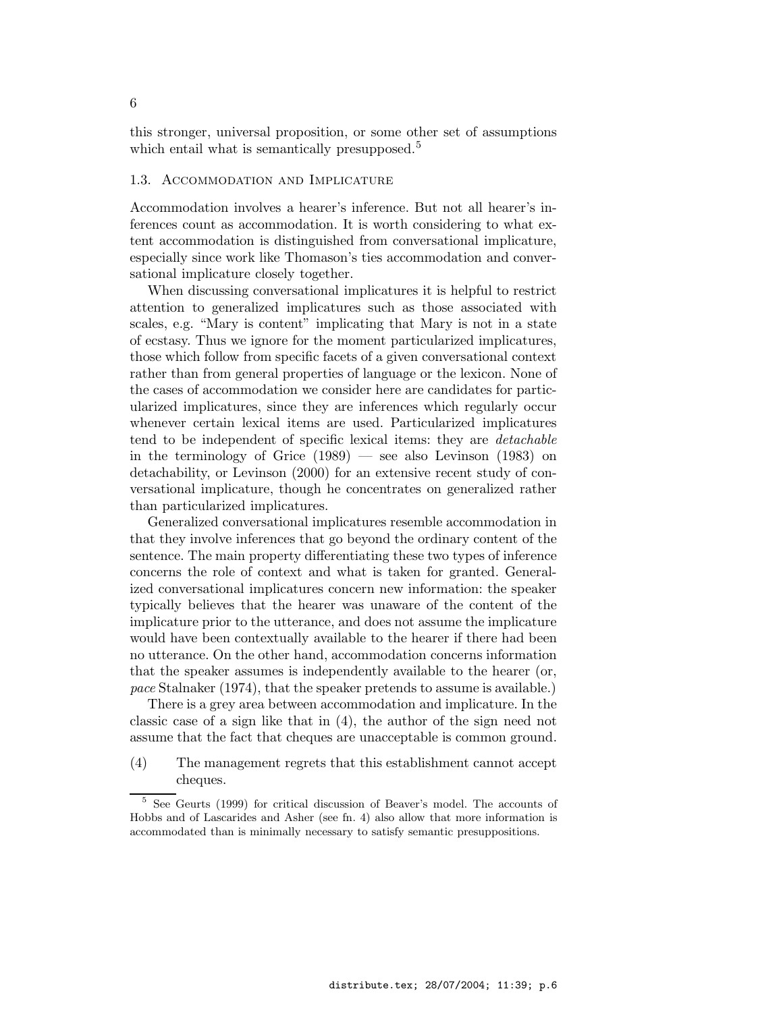this stronger, universal proposition, or some other set of assumptions which entail what is semantically presupposed.<sup>5</sup>

### 1.3. Accommodation and Implicature

Accommodation involves a hearer's inference. But not all hearer's inferences count as accommodation. It is worth considering to what extent accommodation is distinguished from conversational implicature, especially since work like Thomason's ties accommodation and conversational implicature closely together.

When discussing conversational implicatures it is helpful to restrict attention to generalized implicatures such as those associated with scales, e.g. "Mary is content" implicating that Mary is not in a state of ecstasy. Thus we ignore for the moment particularized implicatures, those which follow from specific facets of a given conversational context rather than from general properties of language or the lexicon. None of the cases of accommodation we consider here are candidates for particularized implicatures, since they are inferences which regularly occur whenever certain lexical items are used. Particularized implicatures tend to be independent of specific lexical items: they are detachable in the terminology of Grice (1989) — see also Levinson (1983) on detachability, or Levinson (2000) for an extensive recent study of conversational implicature, though he concentrates on generalized rather than particularized implicatures.

Generalized conversational implicatures resemble accommodation in that they involve inferences that go beyond the ordinary content of the sentence. The main property differentiating these two types of inference concerns the role of context and what is taken for granted. Generalized conversational implicatures concern new information: the speaker typically believes that the hearer was unaware of the content of the implicature prior to the utterance, and does not assume the implicature would have been contextually available to the hearer if there had been no utterance. On the other hand, accommodation concerns information that the speaker assumes is independently available to the hearer (or, pace Stalnaker (1974), that the speaker pretends to assume is available.)

There is a grey area between accommodation and implicature. In the classic case of a sign like that in (4), the author of the sign need not assume that the fact that cheques are unacceptable is common ground.

(4) The management regrets that this establishment cannot accept cheques.

<sup>5</sup> See Geurts (1999) for critical discussion of Beaver's model. The accounts of Hobbs and of Lascarides and Asher (see fn. 4) also allow that more information is accommodated than is minimally necessary to satisfy semantic presuppositions.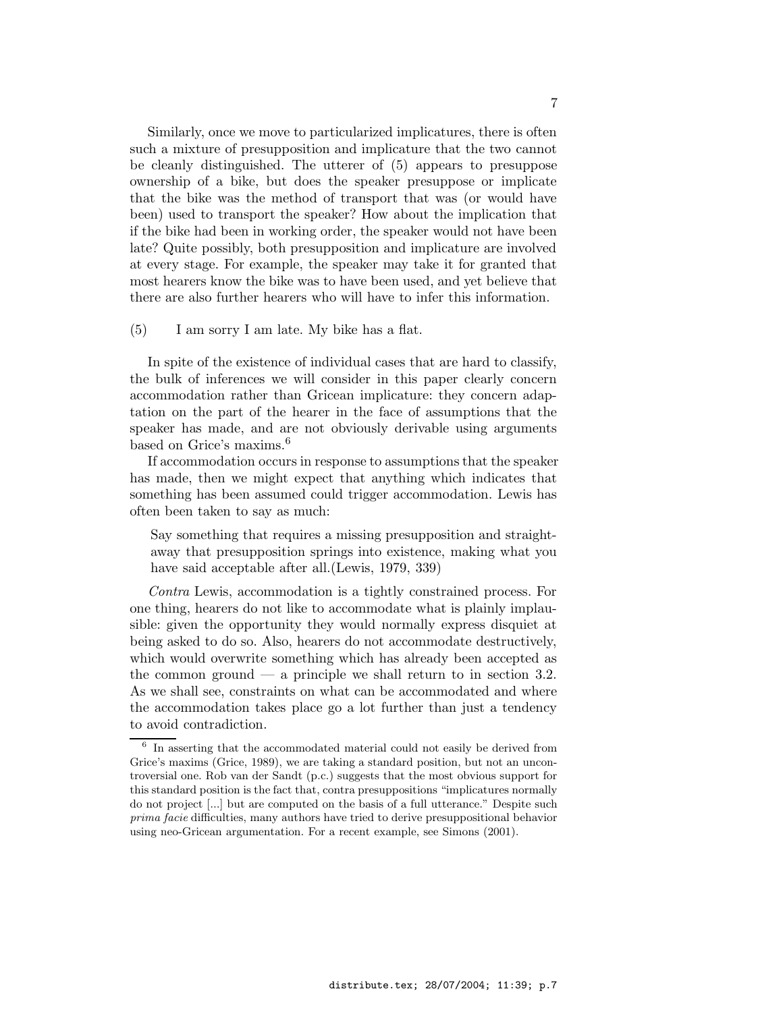Similarly, once we move to particularized implicatures, there is often such a mixture of presupposition and implicature that the two cannot be cleanly distinguished. The utterer of (5) appears to presuppose ownership of a bike, but does the speaker presuppose or implicate that the bike was the method of transport that was (or would have been) used to transport the speaker? How about the implication that if the bike had been in working order, the speaker would not have been late? Quite possibly, both presupposition and implicature are involved at every stage. For example, the speaker may take it for granted that most hearers know the bike was to have been used, and yet believe that there are also further hearers who will have to infer this information.

(5) I am sorry I am late. My bike has a flat.

In spite of the existence of individual cases that are hard to classify, the bulk of inferences we will consider in this paper clearly concern accommodation rather than Gricean implicature: they concern adaptation on the part of the hearer in the face of assumptions that the speaker has made, and are not obviously derivable using arguments based on Grice's maxims.<sup>6</sup>

If accommodation occurs in response to assumptions that the speaker has made, then we might expect that anything which indicates that something has been assumed could trigger accommodation. Lewis has often been taken to say as much:

Say something that requires a missing presupposition and straightaway that presupposition springs into existence, making what you have said acceptable after all.(Lewis, 1979, 339)

Contra Lewis, accommodation is a tightly constrained process. For one thing, hearers do not like to accommodate what is plainly implausible: given the opportunity they would normally express disquiet at being asked to do so. Also, hearers do not accommodate destructively, which would overwrite something which has already been accepted as the common ground  $-$  a principle we shall return to in section 3.2. As we shall see, constraints on what can be accommodated and where the accommodation takes place go a lot further than just a tendency to avoid contradiction.

<sup>&</sup>lt;sup>6</sup> In asserting that the accommodated material could not easily be derived from Grice's maxims (Grice, 1989), we are taking a standard position, but not an uncontroversial one. Rob van der Sandt (p.c.) suggests that the most obvious support for this standard position is the fact that, contra presuppositions "implicatures normally do not project [...] but are computed on the basis of a full utterance." Despite such prima facie difficulties, many authors have tried to derive presuppositional behavior using neo-Gricean argumentation. For a recent example, see Simons (2001).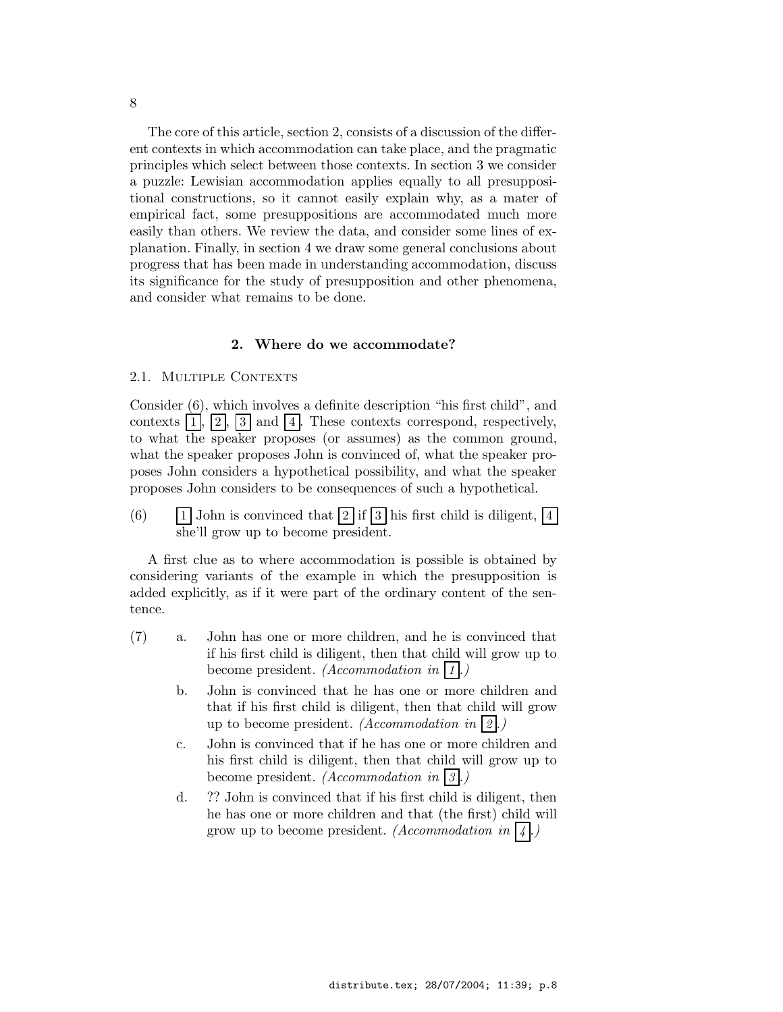The core of this article, section 2, consists of a discussion of the different contexts in which accommodation can take place, and the pragmatic principles which select between those contexts. In section 3 we consider a puzzle: Lewisian accommodation applies equally to all presuppositional constructions, so it cannot easily explain why, as a mater of empirical fact, some presuppositions are accommodated much more easily than others. We review the data, and consider some lines of explanation. Finally, in section 4 we draw some general conclusions about progress that has been made in understanding accommodation, discuss its significance for the study of presupposition and other phenomena, and consider what remains to be done.

### 2. Where do we accommodate?

#### 2.1. MULTIPLE CONTEXTS

Consider (6), which involves a definite description "his first child", and contexts  $|1|, |2|, |3|$  and  $|4|$ . These contexts correspond, respectively, to what the speaker proposes (or assumes) as the common ground, what the speaker proposes John is convinced of, what the speaker proposes John considers a hypothetical possibility, and what the speaker proposes John considers to be consequences of such a hypothetical.

(6) 1 John is convinced that  $\boxed{2}$  if  $\boxed{3}$  his first child is diligent,  $\boxed{4}$ she'll grow up to become president.

A first clue as to where accommodation is possible is obtained by considering variants of the example in which the presupposition is added explicitly, as if it were part of the ordinary content of the sentence.

- (7) a. John has one or more children, and he is convinced that if his first child is diligent, then that child will grow up to become president. *(Accommodation in*  $|1|$ .)
	- b. John is convinced that he has one or more children and that if his first child is diligent, then that child will grow up to become president. (Accommodation in  $(2)$ .)
	- c. John is convinced that if he has one or more children and his first child is diligent, then that child will grow up to become president. *(Accommodation in*  $|3|$ .)
	- d. ?? John is convinced that if his first child is diligent, then he has one or more children and that (the first) child will grow up to become president. (Accommodation in  $\vert 4 \vert$ .)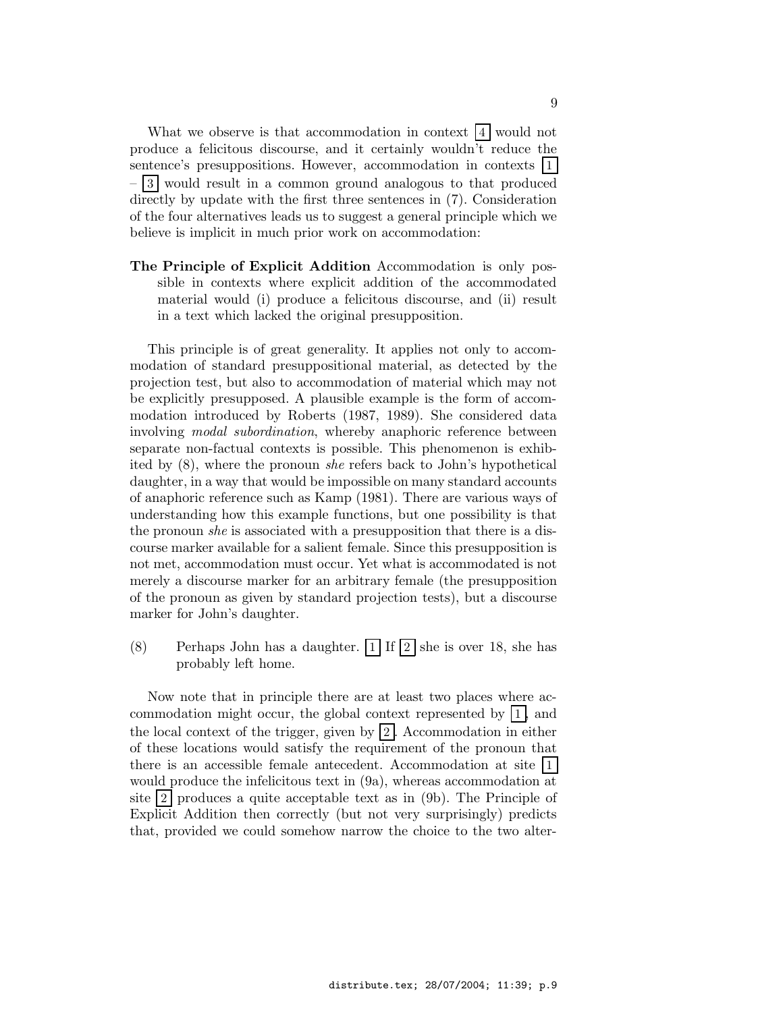What we observe is that accommodation in context  $\vert 4 \vert$  would not produce a felicitous discourse, and it certainly wouldn't reduce the sentence's presuppositions. However, accommodation in contexts |1|  $-3$  would result in a common ground analogous to that produced directly by update with the first three sentences in (7). Consideration of the four alternatives leads us to suggest a general principle which we believe is implicit in much prior work on accommodation:

The Principle of Explicit Addition Accommodation is only possible in contexts where explicit addition of the accommodated material would (i) produce a felicitous discourse, and (ii) result in a text which lacked the original presupposition.

This principle is of great generality. It applies not only to accommodation of standard presuppositional material, as detected by the projection test, but also to accommodation of material which may not be explicitly presupposed. A plausible example is the form of accommodation introduced by Roberts (1987, 1989). She considered data involving modal subordination, whereby anaphoric reference between separate non-factual contexts is possible. This phenomenon is exhibited by (8), where the pronoun she refers back to John's hypothetical daughter, in a way that would be impossible on many standard accounts of anaphoric reference such as Kamp (1981). There are various ways of understanding how this example functions, but one possibility is that the pronoun *she* is associated with a presupposition that there is a discourse marker available for a salient female. Since this presupposition is not met, accommodation must occur. Yet what is accommodated is not merely a discourse marker for an arbitrary female (the presupposition of the pronoun as given by standard projection tests), but a discourse marker for John's daughter.

(8) Perhaps John has a daughter.  $\boxed{1}$  If  $\boxed{2}$  she is over 18, she has probably left home.

Now note that in principle there are at least two places where accommodation might occur, the global context represented by 1 , and the local context of the trigger, given by  $|2|$ . Accommodation in either of these locations would satisfy the requirement of the pronoun that there is an accessible female antecedent. Accommodation at site 1 would produce the infelicitous text in (9a), whereas accommodation at site  $|2|$  produces a quite acceptable text as in  $(9b)$ . The Principle of Explicit Addition then correctly (but not very surprisingly) predicts that, provided we could somehow narrow the choice to the two alter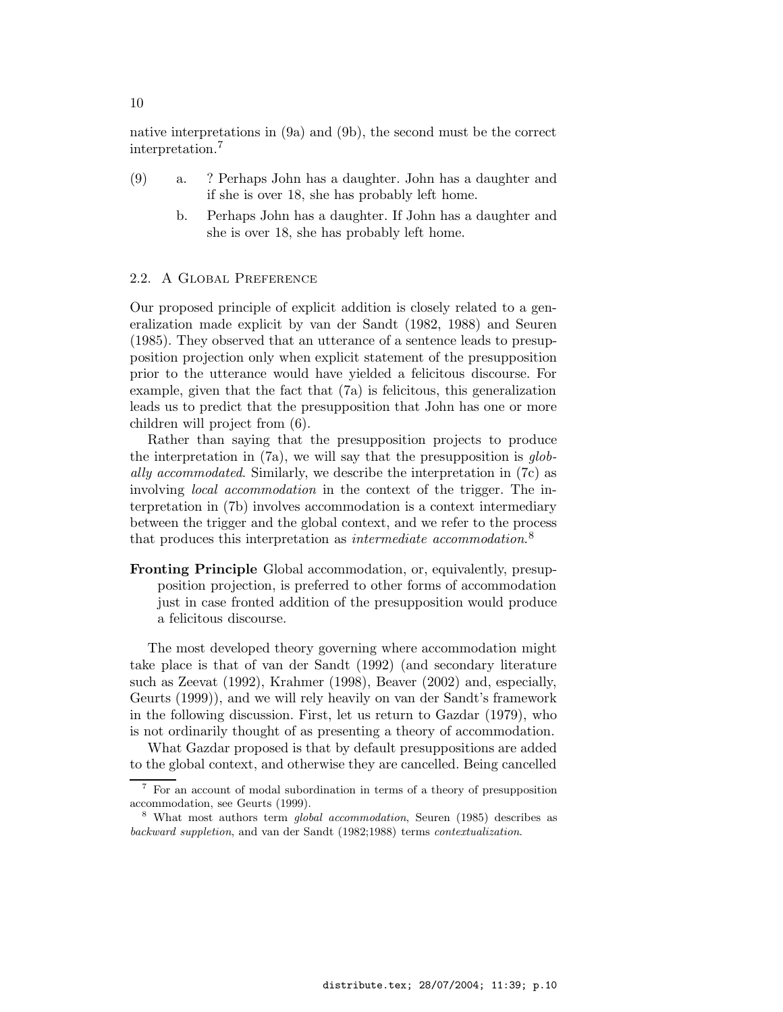native interpretations in (9a) and (9b), the second must be the correct interpretation.<sup>7</sup>

- (9) a. ? Perhaps John has a daughter. John has a daughter and if she is over 18, she has probably left home.
	- b. Perhaps John has a daughter. If John has a daughter and she is over 18, she has probably left home.

### 2.2. A Global Preference

Our proposed principle of explicit addition is closely related to a generalization made explicit by van der Sandt (1982, 1988) and Seuren (1985). They observed that an utterance of a sentence leads to presupposition projection only when explicit statement of the presupposition prior to the utterance would have yielded a felicitous discourse. For example, given that the fact that (7a) is felicitous, this generalization leads us to predict that the presupposition that John has one or more children will project from (6).

Rather than saying that the presupposition projects to produce the interpretation in  $(7a)$ , we will say that the presupposition is globally accommodated. Similarly, we describe the interpretation in (7c) as involving local accommodation in the context of the trigger. The interpretation in (7b) involves accommodation is a context intermediary between the trigger and the global context, and we refer to the process that produces this interpretation as *intermediate accommodation*.<sup>8</sup>

Fronting Principle Global accommodation, or, equivalently, presupposition projection, is preferred to other forms of accommodation just in case fronted addition of the presupposition would produce a felicitous discourse.

The most developed theory governing where accommodation might take place is that of van der Sandt (1992) (and secondary literature such as Zeevat (1992), Krahmer (1998), Beaver (2002) and, especially, Geurts (1999)), and we will rely heavily on van der Sandt's framework in the following discussion. First, let us return to Gazdar (1979), who is not ordinarily thought of as presenting a theory of accommodation.

What Gazdar proposed is that by default presuppositions are added to the global context, and otherwise they are cancelled. Being cancelled

<sup>7</sup> For an account of modal subordination in terms of a theory of presupposition accommodation, see Geurts (1999).

<sup>&</sup>lt;sup>8</sup> What most authors term *global accommodation*, Seuren (1985) describes as backward suppletion, and van der Sandt (1982;1988) terms contextualization.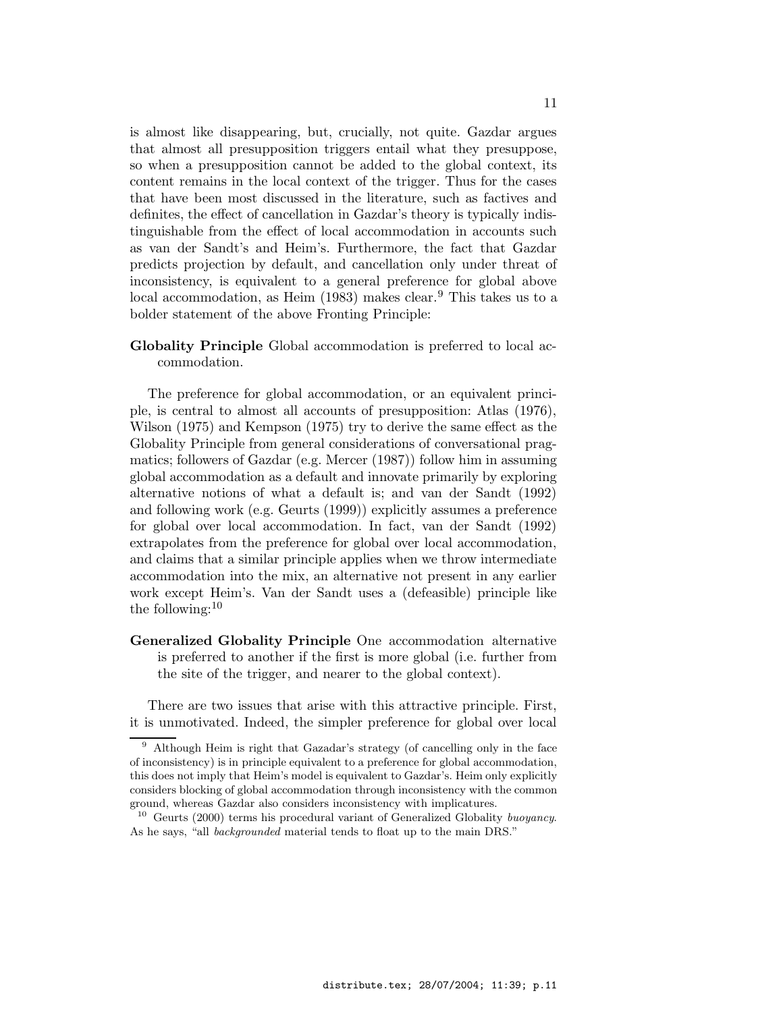is almost like disappearing, but, crucially, not quite. Gazdar argues that almost all presupposition triggers entail what they presuppose, so when a presupposition cannot be added to the global context, its content remains in the local context of the trigger. Thus for the cases that have been most discussed in the literature, such as factives and definites, the effect of cancellation in Gazdar's theory is typically indistinguishable from the effect of local accommodation in accounts such as van der Sandt's and Heim's. Furthermore, the fact that Gazdar predicts projection by default, and cancellation only under threat of inconsistency, is equivalent to a general preference for global above local accommodation, as Heim (1983) makes clear.<sup>9</sup> This takes us to a bolder statement of the above Fronting Principle:

Globality Principle Global accommodation is preferred to local accommodation.

The preference for global accommodation, or an equivalent principle, is central to almost all accounts of presupposition: Atlas (1976), Wilson (1975) and Kempson (1975) try to derive the same effect as the Globality Principle from general considerations of conversational pragmatics; followers of Gazdar (e.g. Mercer (1987)) follow him in assuming global accommodation as a default and innovate primarily by exploring alternative notions of what a default is; and van der Sandt (1992) and following work (e.g. Geurts (1999)) explicitly assumes a preference for global over local accommodation. In fact, van der Sandt (1992) extrapolates from the preference for global over local accommodation, and claims that a similar principle applies when we throw intermediate accommodation into the mix, an alternative not present in any earlier work except Heim's. Van der Sandt uses a (defeasible) principle like the following:  $10$ 

Generalized Globality Principle One accommodation alternative is preferred to another if the first is more global (i.e. further from the site of the trigger, and nearer to the global context).

There are two issues that arise with this attractive principle. First, it is unmotivated. Indeed, the simpler preference for global over local

<sup>9</sup> Although Heim is right that Gazadar's strategy (of cancelling only in the face of inconsistency) is in principle equivalent to a preference for global accommodation, this does not imply that Heim's model is equivalent to Gazdar's. Heim only explicitly considers blocking of global accommodation through inconsistency with the common ground, whereas Gazdar also considers inconsistency with implicatures.

<sup>&</sup>lt;sup>10</sup> Geurts (2000) terms his procedural variant of Generalized Globality buoyancy. As he says, "all *backgrounded* material tends to float up to the main DRS."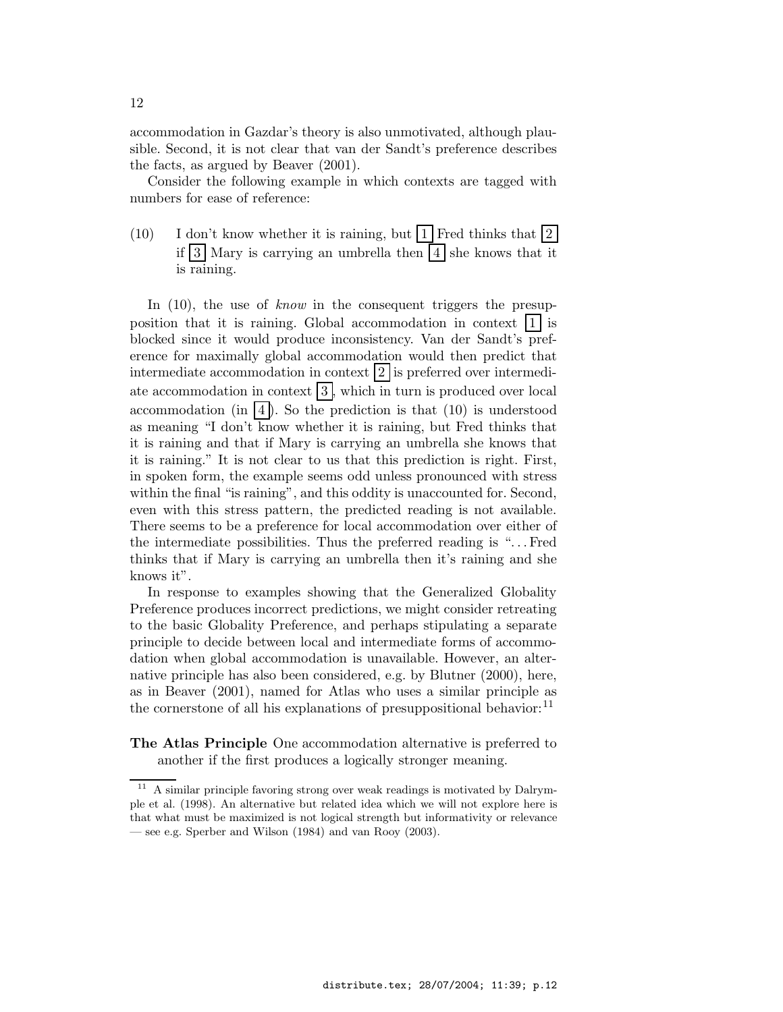accommodation in Gazdar's theory is also unmotivated, although plausible. Second, it is not clear that van der Sandt's preference describes the facts, as argued by Beaver (2001).

Consider the following example in which contexts are tagged with numbers for ease of reference:

 $(10)$  I don't know whether it is raining, but |1 Fred thinks that |2 if  $3$  Mary is carrying an umbrella then  $4$  she knows that it is raining.

In (10), the use of *know* in the consequent triggers the presupposition that it is raining. Global accommodation in context  $|1|$  is blocked since it would produce inconsistency. Van der Sandt's preference for maximally global accommodation would then predict that intermediate accommodation in context  $|2|$  is preferred over intermediate accommodation in context  $\boxed{3}$ , which in turn is produced over local accommodation (in  $\vert 4 \vert$ ). So the prediction is that (10) is understood as meaning "I don't know whether it is raining, but Fred thinks that it is raining and that if Mary is carrying an umbrella she knows that it is raining." It is not clear to us that this prediction is right. First, in spoken form, the example seems odd unless pronounced with stress within the final "is raining", and this oddity is unaccounted for. Second, even with this stress pattern, the predicted reading is not available. There seems to be a preference for local accommodation over either of the intermediate possibilities. Thus the preferred reading is ". . . Fred thinks that if Mary is carrying an umbrella then it's raining and she knows it".

In response to examples showing that the Generalized Globality Preference produces incorrect predictions, we might consider retreating to the basic Globality Preference, and perhaps stipulating a separate principle to decide between local and intermediate forms of accommodation when global accommodation is unavailable. However, an alternative principle has also been considered, e.g. by Blutner (2000), here, as in Beaver (2001), named for Atlas who uses a similar principle as the cornerstone of all his explanations of presuppositional behavior: $^{11}$ 

The Atlas Principle One accommodation alternative is preferred to another if the first produces a logically stronger meaning.

<sup>11</sup> A similar principle favoring strong over weak readings is motivated by Dalrymple et al. (1998). An alternative but related idea which we will not explore here is that what must be maximized is not logical strength but informativity or relevance — see e.g. Sperber and Wilson (1984) and van Rooy (2003).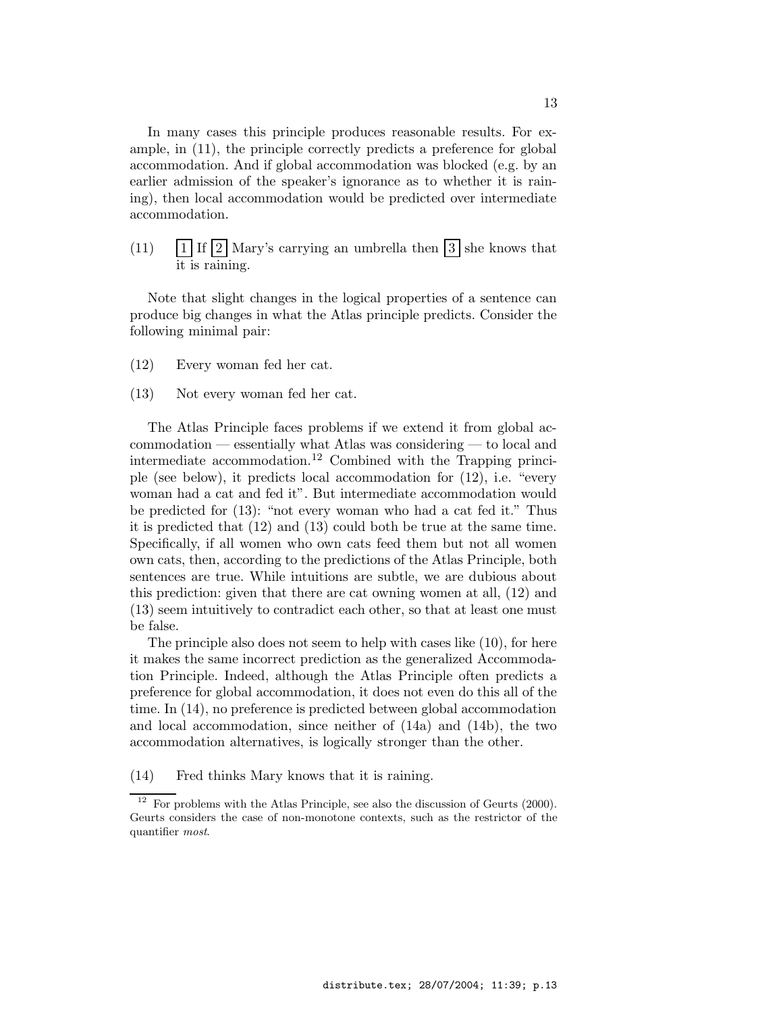In many cases this principle produces reasonable results. For example, in (11), the principle correctly predicts a preference for global accommodation. And if global accommodation was blocked (e.g. by an earlier admission of the speaker's ignorance as to whether it is raining), then local accommodation would be predicted over intermediate accommodation.

(11)  $\boxed{1}$  If  $\boxed{2}$  Mary's carrying an umbrella then  $\boxed{3}$  she knows that it is raining.

Note that slight changes in the logical properties of a sentence can produce big changes in what the Atlas principle predicts. Consider the following minimal pair:

- (12) Every woman fed her cat.
- (13) Not every woman fed her cat.

The Atlas Principle faces problems if we extend it from global accommodation — essentially what Atlas was considering — to local and intermediate accommodation.<sup>12</sup> Combined with the Trapping principle (see below), it predicts local accommodation for (12), i.e. "every woman had a cat and fed it". But intermediate accommodation would be predicted for (13): "not every woman who had a cat fed it." Thus it is predicted that (12) and (13) could both be true at the same time. Specifically, if all women who own cats feed them but not all women own cats, then, according to the predictions of the Atlas Principle, both sentences are true. While intuitions are subtle, we are dubious about this prediction: given that there are cat owning women at all, (12) and (13) seem intuitively to contradict each other, so that at least one must be false.

The principle also does not seem to help with cases like (10), for here it makes the same incorrect prediction as the generalized Accommodation Principle. Indeed, although the Atlas Principle often predicts a preference for global accommodation, it does not even do this all of the time. In (14), no preference is predicted between global accommodation and local accommodation, since neither of (14a) and (14b), the two accommodation alternatives, is logically stronger than the other.

(14) Fred thinks Mary knows that it is raining.

 $12$  For problems with the Atlas Principle, see also the discussion of Geurts (2000). Geurts considers the case of non-monotone contexts, such as the restrictor of the quantifier most.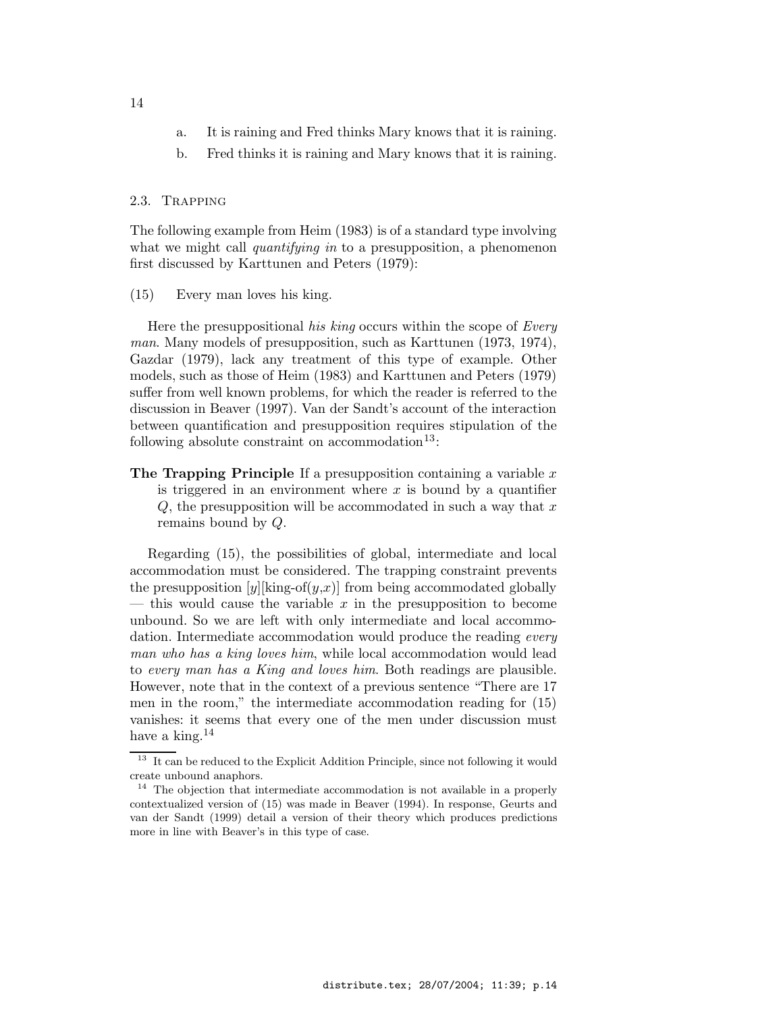- a. It is raining and Fred thinks Mary knows that it is raining.
- b. Fred thinks it is raining and Mary knows that it is raining.

### 2.3. Trapping

The following example from Heim (1983) is of a standard type involving what we might call *quantifying in* to a presupposition, a phenomenon first discussed by Karttunen and Peters (1979):

### (15) Every man loves his king.

Here the presuppositional his king occurs within the scope of Every man. Many models of presupposition, such as Karttunen (1973, 1974), Gazdar (1979), lack any treatment of this type of example. Other models, such as those of Heim (1983) and Karttunen and Peters (1979) suffer from well known problems, for which the reader is referred to the discussion in Beaver (1997). Van der Sandt's account of the interaction between quantification and presupposition requires stipulation of the following absolute constraint on accommodation<sup>13</sup>:

**The Trapping Principle** If a presupposition containing a variable  $x$ is triggered in an environment where  $x$  is bound by a quantifier  $Q$ , the presupposition will be accommodated in such a way that  $x$ remains bound by Q.

Regarding (15), the possibilities of global, intermediate and local accommodation must be considered. The trapping constraint prevents the presupposition  $[y][\text{king-of}(y,x)]$  from being accommodated globally — this would cause the variable  $x$  in the presupposition to become unbound. So we are left with only intermediate and local accommodation. Intermediate accommodation would produce the reading *every* man who has a king loves him, while local accommodation would lead to every man has a King and loves him. Both readings are plausible. However, note that in the context of a previous sentence "There are 17 men in the room," the intermediate accommodation reading for (15) vanishes: it seems that every one of the men under discussion must have a king. $^{14}$ 

 $^{13}\,$  It can be reduced to the Explicit Addition Principle, since not following it would create unbound anaphors.

<sup>&</sup>lt;sup>14</sup> The objection that intermediate accommodation is not available in a properly contextualized version of (15) was made in Beaver (1994). In response, Geurts and van der Sandt (1999) detail a version of their theory which produces predictions more in line with Beaver's in this type of case.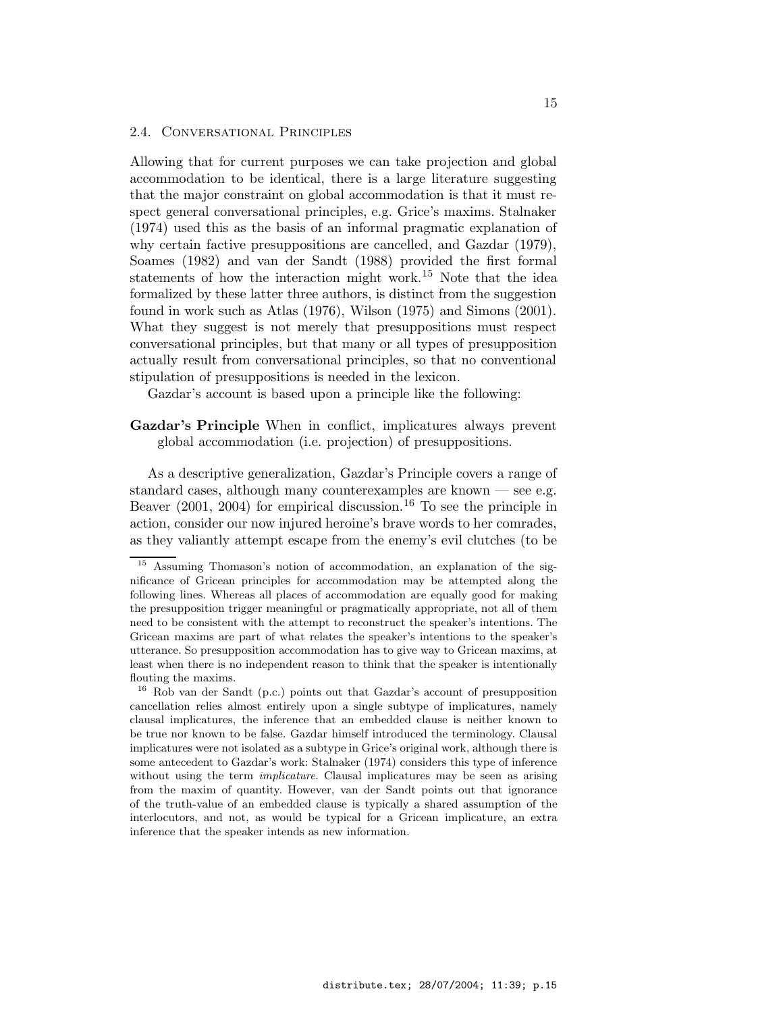### 2.4. Conversational Principles

Allowing that for current purposes we can take projection and global accommodation to be identical, there is a large literature suggesting that the major constraint on global accommodation is that it must respect general conversational principles, e.g. Grice's maxims. Stalnaker (1974) used this as the basis of an informal pragmatic explanation of why certain factive presuppositions are cancelled, and Gazdar (1979), Soames (1982) and van der Sandt (1988) provided the first formal statements of how the interaction might work.<sup>15</sup> Note that the idea formalized by these latter three authors, is distinct from the suggestion found in work such as Atlas (1976), Wilson (1975) and Simons (2001). What they suggest is not merely that presuppositions must respect conversational principles, but that many or all types of presupposition actually result from conversational principles, so that no conventional stipulation of presuppositions is needed in the lexicon.

Gazdar's account is based upon a principle like the following:

### Gazdar's Principle When in conflict, implicatures always prevent global accommodation (i.e. projection) of presuppositions.

As a descriptive generalization, Gazdar's Principle covers a range of standard cases, although many counterexamples are known — see e.g. Beaver  $(2001, 2004)$  for empirical discussion.<sup>16</sup> To see the principle in action, consider our now injured heroine's brave words to her comrades, as they valiantly attempt escape from the enemy's evil clutches (to be

<sup>15</sup> Assuming Thomason's notion of accommodation, an explanation of the significance of Gricean principles for accommodation may be attempted along the following lines. Whereas all places of accommodation are equally good for making the presupposition trigger meaningful or pragmatically appropriate, not all of them need to be consistent with the attempt to reconstruct the speaker's intentions. The Gricean maxims are part of what relates the speaker's intentions to the speaker's utterance. So presupposition accommodation has to give way to Gricean maxims, at least when there is no independent reason to think that the speaker is intentionally flouting the maxims.

<sup>16</sup> Rob van der Sandt (p.c.) points out that Gazdar's account of presupposition cancellation relies almost entirely upon a single subtype of implicatures, namely clausal implicatures, the inference that an embedded clause is neither known to be true nor known to be false. Gazdar himself introduced the terminology. Clausal implicatures were not isolated as a subtype in Grice's original work, although there is some antecedent to Gazdar's work: Stalnaker (1974) considers this type of inference without using the term *implicature*. Clausal implicatures may be seen as arising from the maxim of quantity. However, van der Sandt points out that ignorance of the truth-value of an embedded clause is typically a shared assumption of the interlocutors, and not, as would be typical for a Gricean implicature, an extra inference that the speaker intends as new information.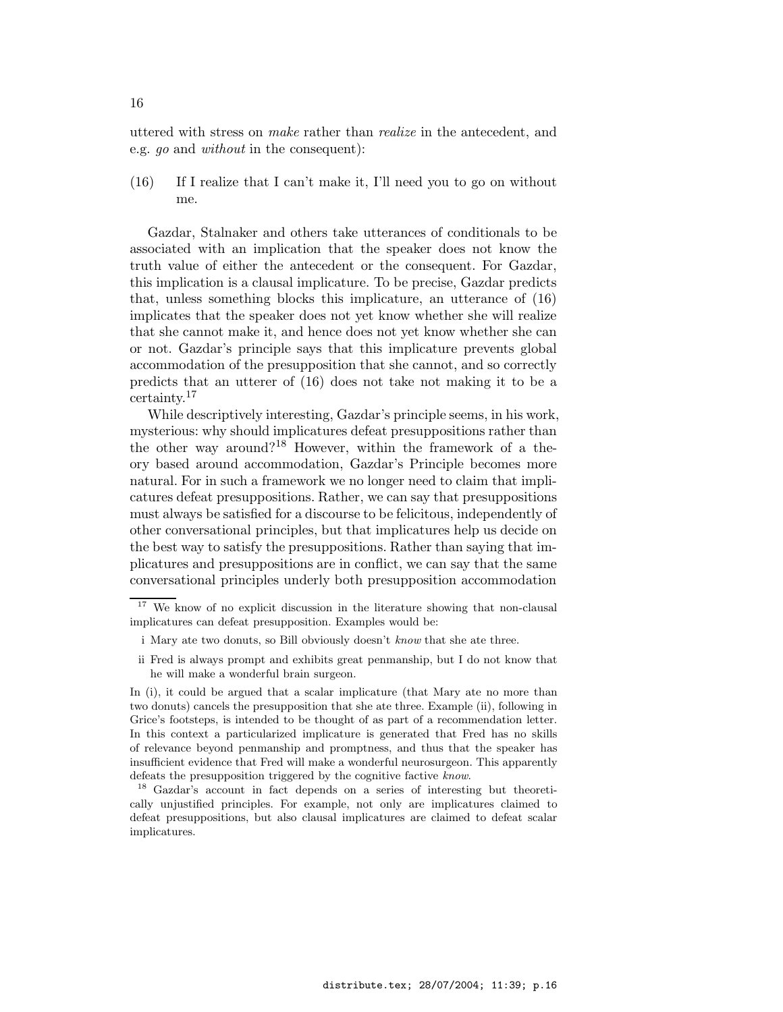uttered with stress on make rather than realize in the antecedent, and e.g. go and without in the consequent):

(16) If I realize that I can't make it, I'll need you to go on without me.

Gazdar, Stalnaker and others take utterances of conditionals to be associated with an implication that the speaker does not know the truth value of either the antecedent or the consequent. For Gazdar, this implication is a clausal implicature. To be precise, Gazdar predicts that, unless something blocks this implicature, an utterance of (16) implicates that the speaker does not yet know whether she will realize that she cannot make it, and hence does not yet know whether she can or not. Gazdar's principle says that this implicature prevents global accommodation of the presupposition that she cannot, and so correctly predicts that an utterer of (16) does not take not making it to be a certainty.<sup>17</sup>

While descriptively interesting, Gazdar's principle seems, in his work, mysterious: why should implicatures defeat presuppositions rather than the other way around?<sup>18</sup> However, within the framework of a theory based around accommodation, Gazdar's Principle becomes more natural. For in such a framework we no longer need to claim that implicatures defeat presuppositions. Rather, we can say that presuppositions must always be satisfied for a discourse to be felicitous, independently of other conversational principles, but that implicatures help us decide on the best way to satisfy the presuppositions. Rather than saying that implicatures and presuppositions are in conflict, we can say that the same conversational principles underly both presupposition accommodation

ii Fred is always prompt and exhibits great penmanship, but I do not know that he will make a wonderful brain surgeon.

<sup>&</sup>lt;sup>17</sup> We know of no explicit discussion in the literature showing that non-clausal implicatures can defeat presupposition. Examples would be:

i Mary ate two donuts, so Bill obviously doesn't know that she ate three.

In (i), it could be argued that a scalar implicature (that Mary ate no more than two donuts) cancels the presupposition that she ate three. Example (ii), following in Grice's footsteps, is intended to be thought of as part of a recommendation letter. In this context a particularized implicature is generated that Fred has no skills of relevance beyond penmanship and promptness, and thus that the speaker has insufficient evidence that Fred will make a wonderful neurosurgeon. This apparently defeats the presupposition triggered by the cognitive factive know.

<sup>18</sup> Gazdar's account in fact depends on a series of interesting but theoretically unjustified principles. For example, not only are implicatures claimed to defeat presuppositions, but also clausal implicatures are claimed to defeat scalar implicatures.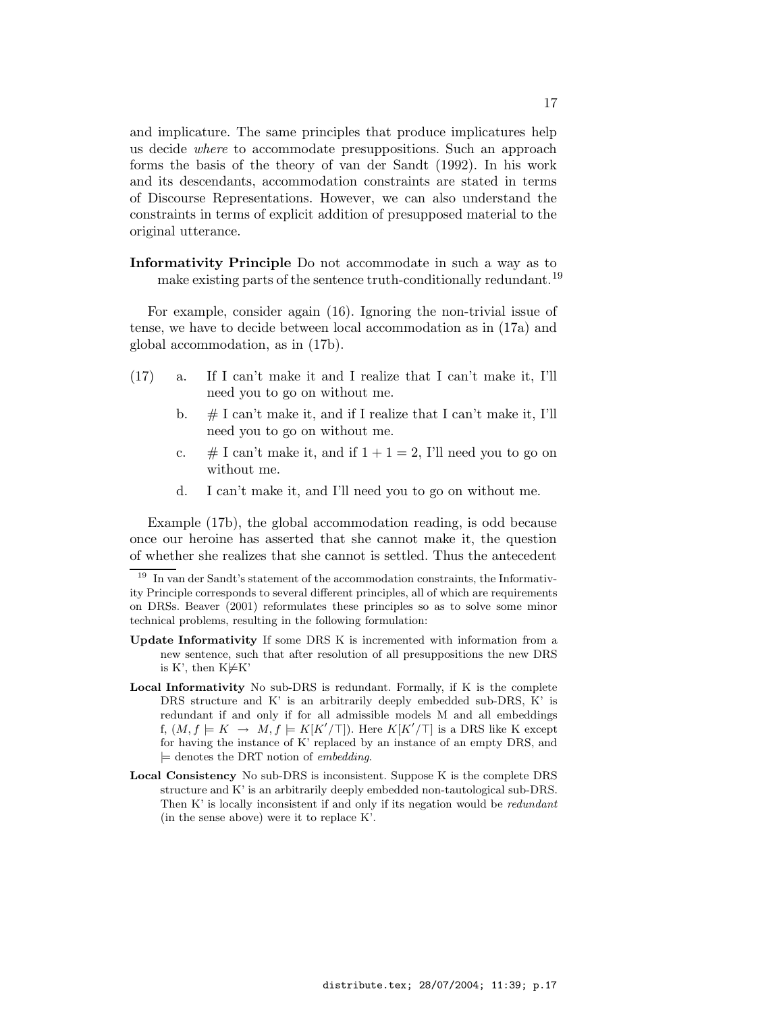and implicature. The same principles that produce implicatures help us decide where to accommodate presuppositions. Such an approach forms the basis of the theory of van der Sandt (1992). In his work and its descendants, accommodation constraints are stated in terms of Discourse Representations. However, we can also understand the constraints in terms of explicit addition of presupposed material to the original utterance.

Informativity Principle Do not accommodate in such a way as to make existing parts of the sentence truth-conditionally redundant.<sup>19</sup>

For example, consider again (16). Ignoring the non-trivial issue of tense, we have to decide between local accommodation as in (17a) and global accommodation, as in (17b).

- (17) a. If I can't make it and I realize that I can't make it, I'll need you to go on without me.
	- b.  $\#$  I can't make it, and if I realize that I can't make it, I'll need you to go on without me.
	- c. # I can't make it, and if  $1 + 1 = 2$ , I'll need you to go on without me.
	- d. I can't make it, and I'll need you to go on without me.

Example (17b), the global accommodation reading, is odd because once our heroine has asserted that she cannot make it, the question of whether she realizes that she cannot is settled. Thus the antecedent

 $^{19}\,$  In van der Sandt's statement of the accommodation constraints, the Informativity Principle corresponds to several different principles, all of which are requirements on DRSs. Beaver (2001) reformulates these principles so as to solve some minor technical problems, resulting in the following formulation:

Update Informativity If some DRS K is incremented with information from a new sentence, such that after resolution of all presuppositions the new DRS is K', then  $K \not\models K'$ 

Local Informativity No sub-DRS is redundant. Formally, if K is the complete DRS structure and K' is an arbitrarily deeply embedded sub-DRS, K' is redundant if and only if for all admissible models M and all embeddings f,  $(M, f \models K \rightarrow M, f \models K[K'/\top])$ . Here  $K[K'/\top]$  is a DRS like K except for having the instance of K' replaced by an instance of an empty DRS, and  $\models$  denotes the DRT notion of *embedding*.

Local Consistency No sub-DRS is inconsistent. Suppose K is the complete DRS structure and K' is an arbitrarily deeply embedded non-tautological sub-DRS. Then K' is locally inconsistent if and only if its negation would be *redundant* (in the sense above) were it to replace K'.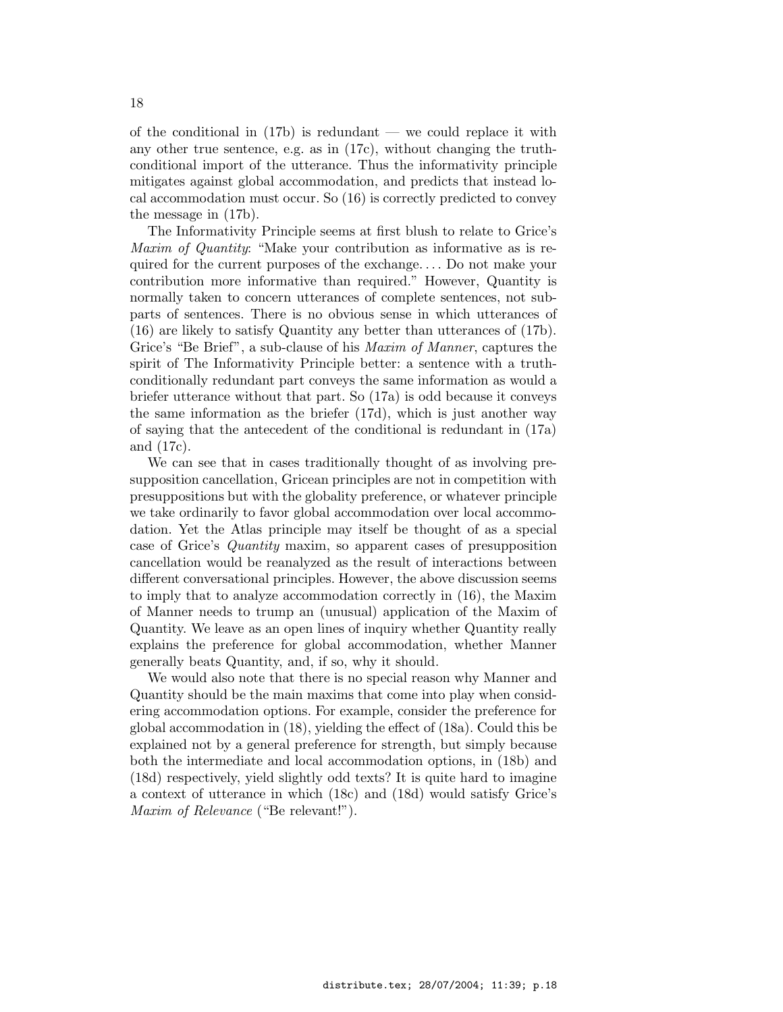of the conditional in  $(17b)$  is redundant — we could replace it with any other true sentence, e.g. as in (17c), without changing the truthconditional import of the utterance. Thus the informativity principle mitigates against global accommodation, and predicts that instead local accommodation must occur. So (16) is correctly predicted to convey the message in (17b).

The Informativity Principle seems at first blush to relate to Grice's Maxim of Quantity: "Make your contribution as informative as is required for the current purposes of the exchange. . . . Do not make your contribution more informative than required." However, Quantity is normally taken to concern utterances of complete sentences, not subparts of sentences. There is no obvious sense in which utterances of (16) are likely to satisfy Quantity any better than utterances of (17b). Grice's "Be Brief", a sub-clause of his *Maxim of Manner*, captures the spirit of The Informativity Principle better: a sentence with a truthconditionally redundant part conveys the same information as would a briefer utterance without that part. So (17a) is odd because it conveys the same information as the briefer (17d), which is just another way of saying that the antecedent of the conditional is redundant in (17a) and (17c).

We can see that in cases traditionally thought of as involving presupposition cancellation, Gricean principles are not in competition with presuppositions but with the globality preference, or whatever principle we take ordinarily to favor global accommodation over local accommodation. Yet the Atlas principle may itself be thought of as a special case of Grice's Quantity maxim, so apparent cases of presupposition cancellation would be reanalyzed as the result of interactions between different conversational principles. However, the above discussion seems to imply that to analyze accommodation correctly in (16), the Maxim of Manner needs to trump an (unusual) application of the Maxim of Quantity. We leave as an open lines of inquiry whether Quantity really explains the preference for global accommodation, whether Manner generally beats Quantity, and, if so, why it should.

We would also note that there is no special reason why Manner and Quantity should be the main maxims that come into play when considering accommodation options. For example, consider the preference for global accommodation in (18), yielding the effect of (18a). Could this be explained not by a general preference for strength, but simply because both the intermediate and local accommodation options, in (18b) and (18d) respectively, yield slightly odd texts? It is quite hard to imagine a context of utterance in which (18c) and (18d) would satisfy Grice's Maxim of Relevance ("Be relevant!").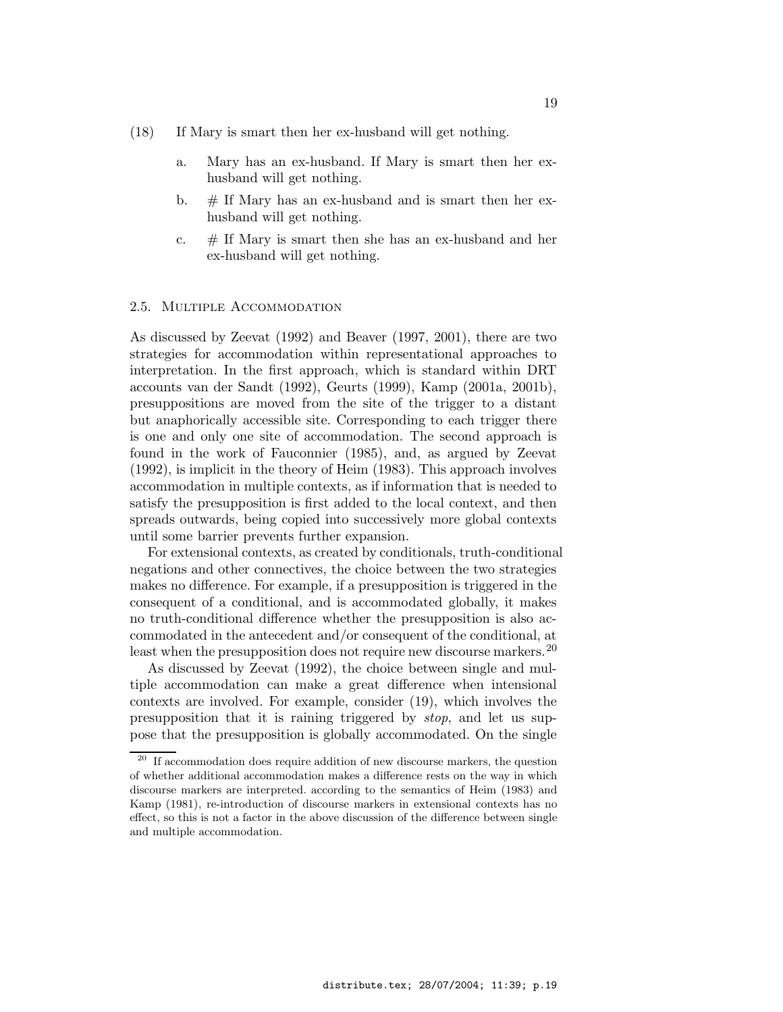- (18) If Mary is smart then her ex-husband will get nothing.
	- a. Mary has an ex-husband. If Mary is smart then her exhusband will get nothing.
	- b.  $\#$  If Mary has an ex-husband and is smart then her exhusband will get nothing.
	- c.  $\#$  If Mary is smart then she has an ex-husband and her ex-husband will get nothing.

### 2.5. Multiple Accommodation

As discussed by Zeevat (1992) and Beaver (1997, 2001), there are two strategies for accommodation within representational approaches to interpretation. In the first approach, which is standard within DRT accounts van der Sandt (1992), Geurts (1999), Kamp (2001a, 2001b), presuppositions are moved from the site of the trigger to a distant but anaphorically accessible site. Corresponding to each trigger there is one and only one site of accommodation. The second approach is found in the work of Fauconnier (1985), and, as argued by Zeevat (1992), is implicit in the theory of Heim (1983). This approach involves accommodation in multiple contexts, as if information that is needed to satisfy the presupposition is first added to the local context, and then spreads outwards, being copied into successively more global contexts until some barrier prevents further expansion.

For extensional contexts, as created by conditionals, truth-conditional negations and other connectives, the choice between the two strategies makes no difference. For example, if a presupposition is triggered in the consequent of a conditional, and is accommodated globally, it makes no truth-conditional difference whether the presupposition is also accommodated in the antecedent and/or consequent of the conditional, at least when the presupposition does not require new discourse markers.  $20$ 

As discussed by Zeevat (1992), the choice between single and multiple accommodation can make a great difference when intensional contexts are involved. For example, consider (19), which involves the presupposition that it is raining triggered by stop, and let us suppose that the presupposition is globally accommodated. On the single

 $^{20}\,$  If accommodation does require addition of new discourse markers, the question of whether additional accommodation makes a difference rests on the way in which discourse markers are interpreted. according to the semantics of Heim (1983) and Kamp (1981), re-introduction of discourse markers in extensional contexts has no effect, so this is not a factor in the above discussion of the difference between single and multiple accommodation.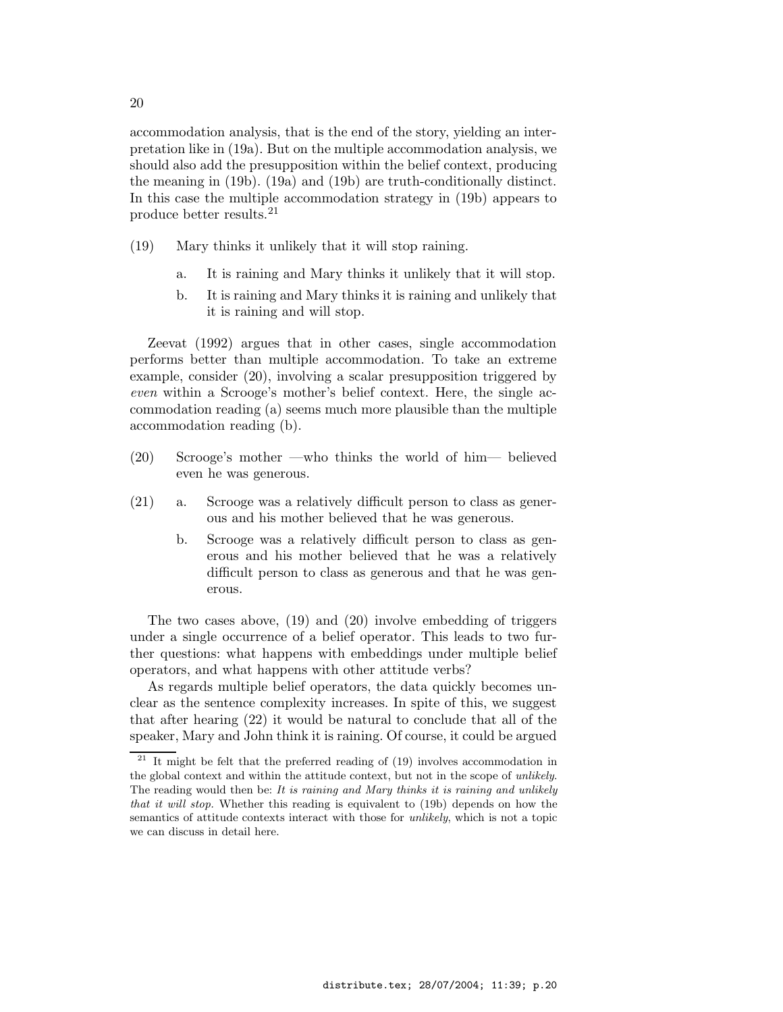accommodation analysis, that is the end of the story, yielding an interpretation like in (19a). But on the multiple accommodation analysis, we should also add the presupposition within the belief context, producing the meaning in (19b). (19a) and (19b) are truth-conditionally distinct. In this case the multiple accommodation strategy in (19b) appears to produce better results.<sup>21</sup>

- (19) Mary thinks it unlikely that it will stop raining.
	- a. It is raining and Mary thinks it unlikely that it will stop.
	- b. It is raining and Mary thinks it is raining and unlikely that it is raining and will stop.

Zeevat (1992) argues that in other cases, single accommodation performs better than multiple accommodation. To take an extreme example, consider (20), involving a scalar presupposition triggered by even within a Scrooge's mother's belief context. Here, the single accommodation reading (a) seems much more plausible than the multiple accommodation reading (b).

- (20) Scrooge's mother —who thinks the world of him— believed even he was generous.
- (21) a. Scrooge was a relatively difficult person to class as generous and his mother believed that he was generous.
	- b. Scrooge was a relatively difficult person to class as generous and his mother believed that he was a relatively difficult person to class as generous and that he was generous.

The two cases above, (19) and (20) involve embedding of triggers under a single occurrence of a belief operator. This leads to two further questions: what happens with embeddings under multiple belief operators, and what happens with other attitude verbs?

As regards multiple belief operators, the data quickly becomes unclear as the sentence complexity increases. In spite of this, we suggest that after hearing (22) it would be natural to conclude that all of the speaker, Mary and John think it is raining. Of course, it could be argued

20

 $21$  It might be felt that the preferred reading of (19) involves accommodation in the global context and within the attitude context, but not in the scope of *unlikely*. The reading would then be: It is raining and Mary thinks it is raining and unlikely that it will stop. Whether this reading is equivalent to (19b) depends on how the semantics of attitude contexts interact with those for *unlikely*, which is not a topic we can discuss in detail here.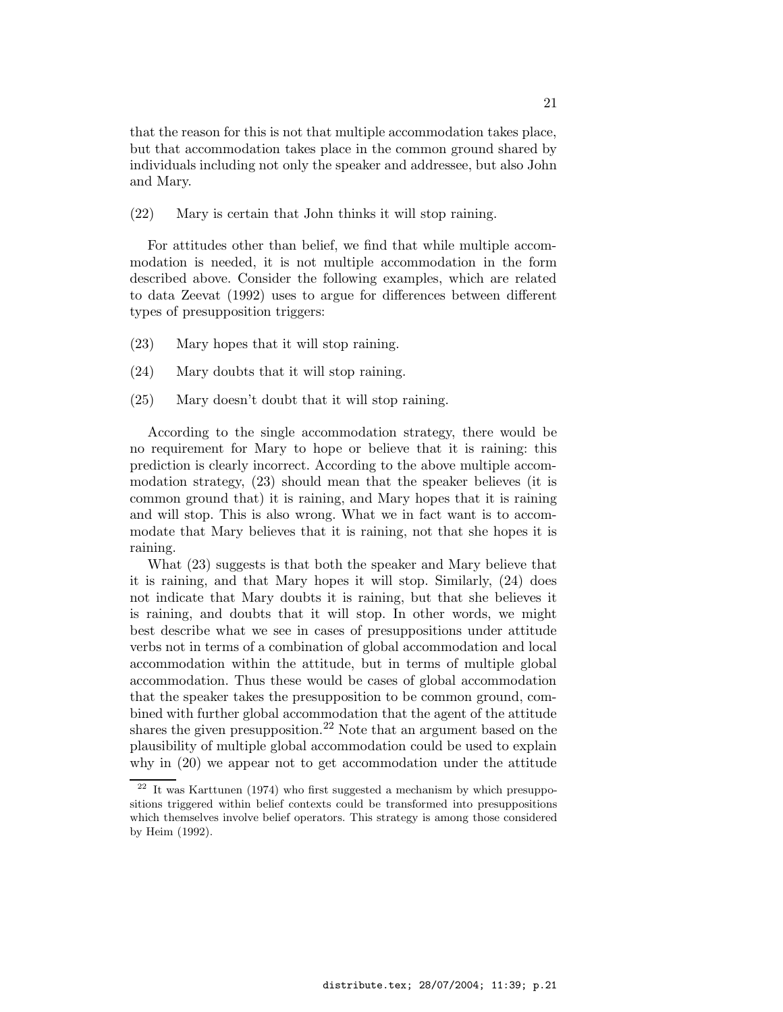that the reason for this is not that multiple accommodation takes place, but that accommodation takes place in the common ground shared by individuals including not only the speaker and addressee, but also John and Mary.

(22) Mary is certain that John thinks it will stop raining.

For attitudes other than belief, we find that while multiple accommodation is needed, it is not multiple accommodation in the form described above. Consider the following examples, which are related to data Zeevat (1992) uses to argue for differences between different types of presupposition triggers:

- (23) Mary hopes that it will stop raining.
- (24) Mary doubts that it will stop raining.
- (25) Mary doesn't doubt that it will stop raining.

According to the single accommodation strategy, there would be no requirement for Mary to hope or believe that it is raining: this prediction is clearly incorrect. According to the above multiple accommodation strategy, (23) should mean that the speaker believes (it is common ground that) it is raining, and Mary hopes that it is raining and will stop. This is also wrong. What we in fact want is to accommodate that Mary believes that it is raining, not that she hopes it is raining.

What (23) suggests is that both the speaker and Mary believe that it is raining, and that Mary hopes it will stop. Similarly, (24) does not indicate that Mary doubts it is raining, but that she believes it is raining, and doubts that it will stop. In other words, we might best describe what we see in cases of presuppositions under attitude verbs not in terms of a combination of global accommodation and local accommodation within the attitude, but in terms of multiple global accommodation. Thus these would be cases of global accommodation that the speaker takes the presupposition to be common ground, combined with further global accommodation that the agent of the attitude shares the given presupposition.<sup>22</sup> Note that an argument based on the plausibility of multiple global accommodation could be used to explain why in (20) we appear not to get accommodation under the attitude

 $\frac{22}{10}$  It was Karttunen (1974) who first suggested a mechanism by which presuppositions triggered within belief contexts could be transformed into presuppositions which themselves involve belief operators. This strategy is among those considered by Heim (1992).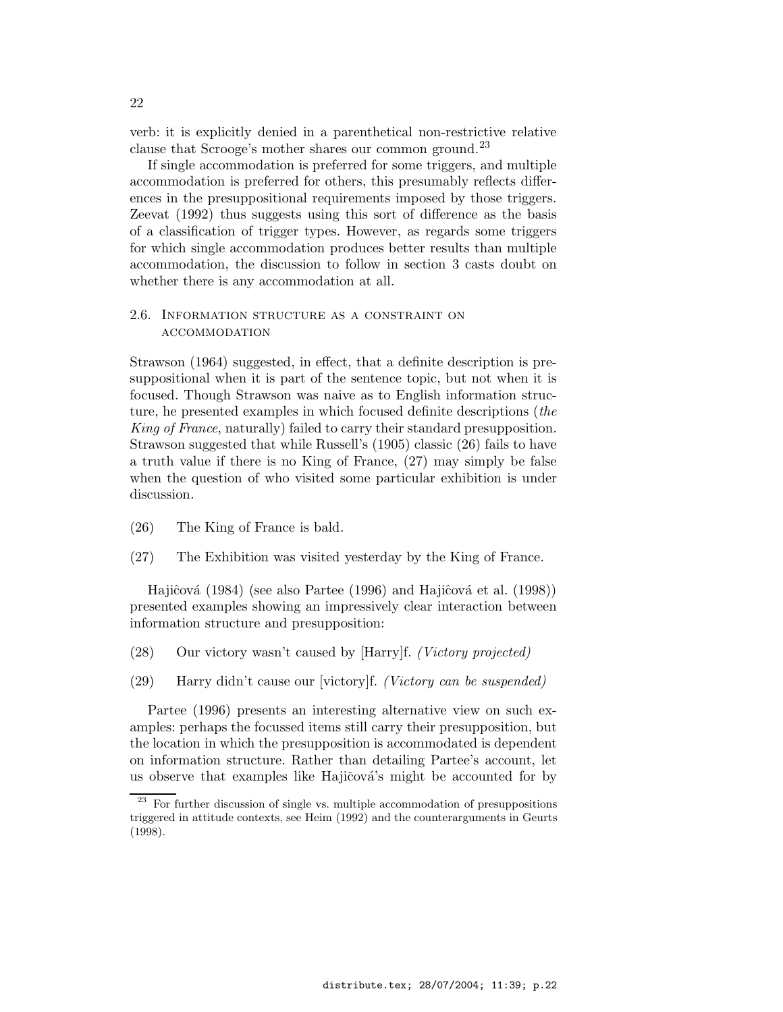verb: it is explicitly denied in a parenthetical non-restrictive relative clause that Scrooge's mother shares our common ground.<sup>23</sup>

If single accommodation is preferred for some triggers, and multiple accommodation is preferred for others, this presumably reflects differences in the presuppositional requirements imposed by those triggers. Zeevat (1992) thus suggests using this sort of difference as the basis of a classification of trigger types. However, as regards some triggers for which single accommodation produces better results than multiple accommodation, the discussion to follow in section 3 casts doubt on whether there is any accommodation at all.

### 2.6. Information structure as a constraint on accommodation

Strawson (1964) suggested, in effect, that a definite description is presuppositional when it is part of the sentence topic, but not when it is focused. Though Strawson was naive as to English information structure, he presented examples in which focused definite descriptions (the King of France, naturally) failed to carry their standard presupposition. Strawson suggested that while Russell's (1905) classic (26) fails to have a truth value if there is no King of France, (27) may simply be false when the question of who visited some particular exhibition is under discussion.

- (26) The King of France is bald.
- (27) The Exhibition was visited yesterday by the King of France.

Hajiĉová (1984) (see also Partee (1996) and Hajiĉová et al. (1998)) presented examples showing an impressively clear interaction between information structure and presupposition:

- (28) Our victory wasn't caused by [Harry]f. (Victory projected)
- (29) Harry didn't cause our [victory]f. (Victory can be suspended)

Partee (1996) presents an interesting alternative view on such examples: perhaps the focussed items still carry their presupposition, but the location in which the presupposition is accommodated is dependent on information structure. Rather than detailing Partee's account, let us observe that examples like Hajičová's might be accounted for by

 $23$  For further discussion of single vs. multiple accommodation of presuppositions triggered in attitude contexts, see Heim (1992) and the counterarguments in Geurts (1998).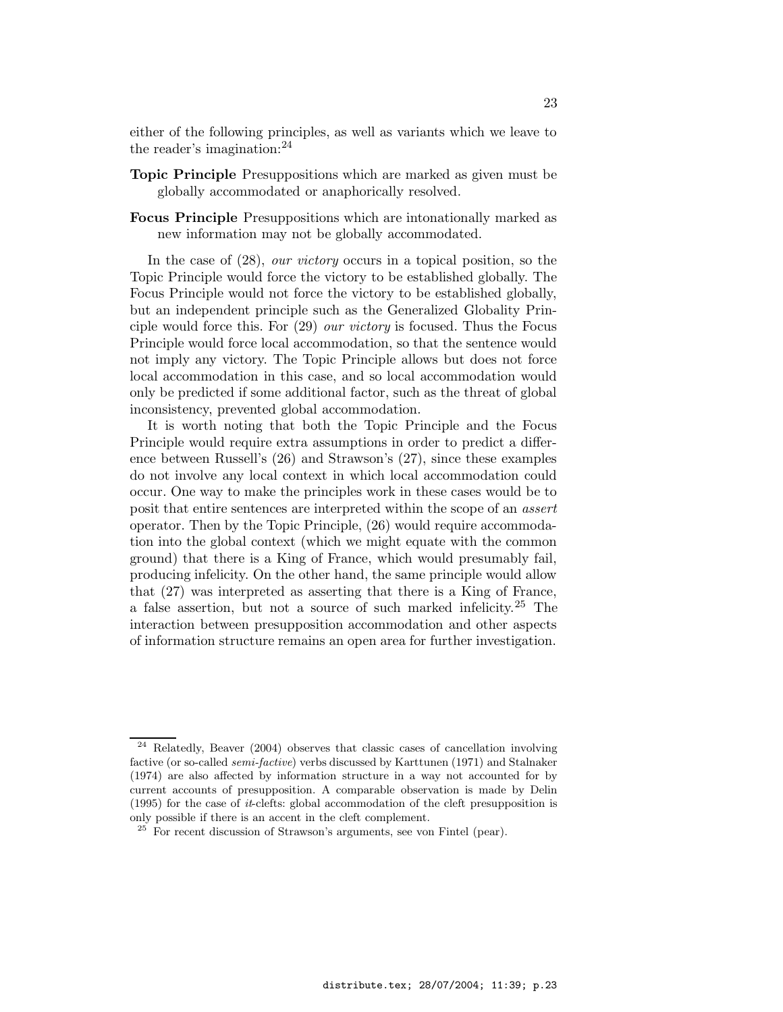either of the following principles, as well as variants which we leave to the reader's imagination: $^{24}$ 

- Topic Principle Presuppositions which are marked as given must be globally accommodated or anaphorically resolved.
- Focus Principle Presuppositions which are intonationally marked as new information may not be globally accommodated.

In the case of  $(28)$ , *our victory* occurs in a topical position, so the Topic Principle would force the victory to be established globally. The Focus Principle would not force the victory to be established globally, but an independent principle such as the Generalized Globality Principle would force this. For (29) our victory is focused. Thus the Focus Principle would force local accommodation, so that the sentence would not imply any victory. The Topic Principle allows but does not force local accommodation in this case, and so local accommodation would only be predicted if some additional factor, such as the threat of global inconsistency, prevented global accommodation.

It is worth noting that both the Topic Principle and the Focus Principle would require extra assumptions in order to predict a difference between Russell's (26) and Strawson's (27), since these examples do not involve any local context in which local accommodation could occur. One way to make the principles work in these cases would be to posit that entire sentences are interpreted within the scope of an assert operator. Then by the Topic Principle, (26) would require accommodation into the global context (which we might equate with the common ground) that there is a King of France, which would presumably fail, producing infelicity. On the other hand, the same principle would allow that (27) was interpreted as asserting that there is a King of France, a false assertion, but not a source of such marked infelicity.<sup>25</sup> The interaction between presupposition accommodation and other aspects of information structure remains an open area for further investigation.

 $24$  Relatedly, Beaver (2004) observes that classic cases of cancellation involving factive (or so-called semi-factive) verbs discussed by Karttunen (1971) and Stalnaker (1974) are also affected by information structure in a way not accounted for by current accounts of presupposition. A comparable observation is made by Delin (1995) for the case of  $it$ -clefts: global accommodation of the cleft presupposition is only possible if there is an accent in the cleft complement.

 $25$  For recent discussion of Strawson's arguments, see von Fintel (pear).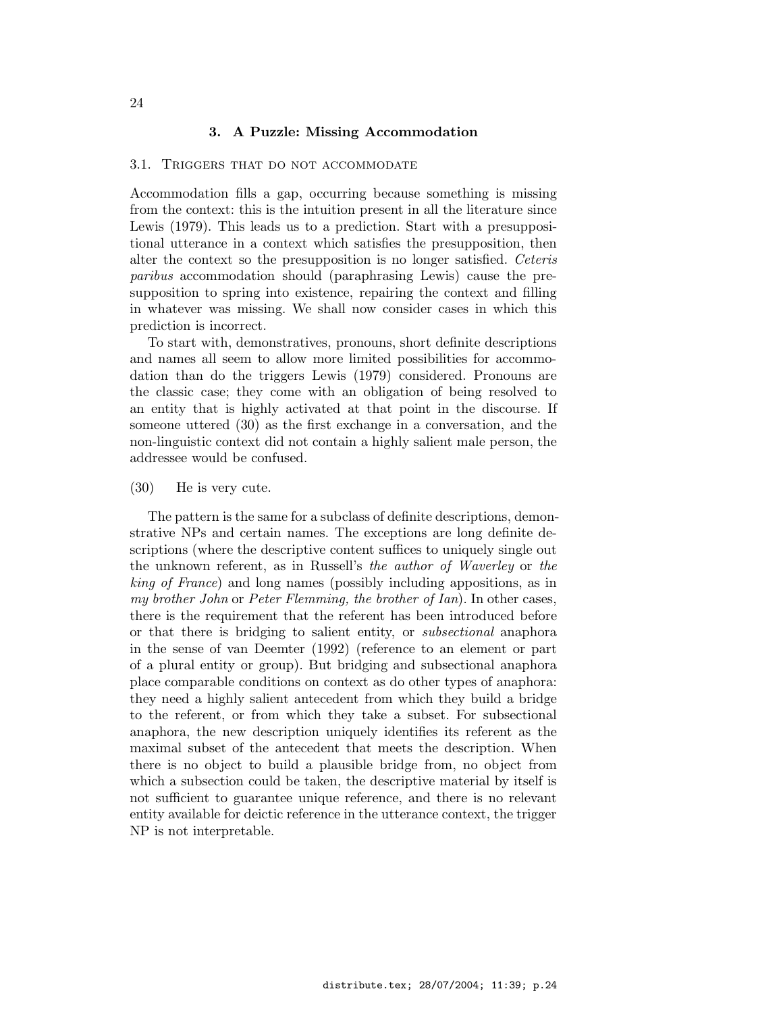### 3. A Puzzle: Missing Accommodation

#### 3.1. Triggers that do not accommodate

Accommodation fills a gap, occurring because something is missing from the context: this is the intuition present in all the literature since Lewis (1979). This leads us to a prediction. Start with a presuppositional utterance in a context which satisfies the presupposition, then alter the context so the presupposition is no longer satisfied. Ceteris paribus accommodation should (paraphrasing Lewis) cause the presupposition to spring into existence, repairing the context and filling in whatever was missing. We shall now consider cases in which this prediction is incorrect.

To start with, demonstratives, pronouns, short definite descriptions and names all seem to allow more limited possibilities for accommodation than do the triggers Lewis (1979) considered. Pronouns are the classic case; they come with an obligation of being resolved to an entity that is highly activated at that point in the discourse. If someone uttered (30) as the first exchange in a conversation, and the non-linguistic context did not contain a highly salient male person, the addressee would be confused.

### (30) He is very cute.

The pattern is the same for a subclass of definite descriptions, demonstrative NPs and certain names. The exceptions are long definite descriptions (where the descriptive content suffices to uniquely single out the unknown referent, as in Russell's the author of Waverley or the king of France) and long names (possibly including appositions, as in my brother John or Peter Flemming, the brother of Ian). In other cases, there is the requirement that the referent has been introduced before or that there is bridging to salient entity, or subsectional anaphora in the sense of van Deemter (1992) (reference to an element or part of a plural entity or group). But bridging and subsectional anaphora place comparable conditions on context as do other types of anaphora: they need a highly salient antecedent from which they build a bridge to the referent, or from which they take a subset. For subsectional anaphora, the new description uniquely identifies its referent as the maximal subset of the antecedent that meets the description. When there is no object to build a plausible bridge from, no object from which a subsection could be taken, the descriptive material by itself is not sufficient to guarantee unique reference, and there is no relevant entity available for deictic reference in the utterance context, the trigger NP is not interpretable.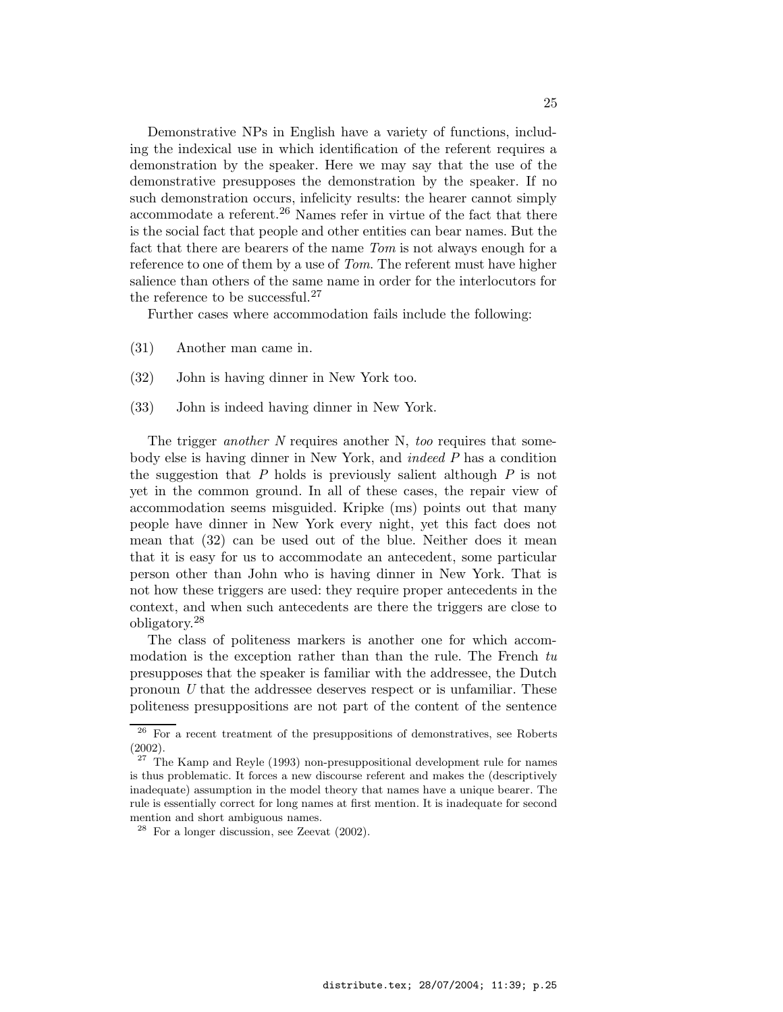Demonstrative NPs in English have a variety of functions, including the indexical use in which identification of the referent requires a demonstration by the speaker. Here we may say that the use of the demonstrative presupposes the demonstration by the speaker. If no such demonstration occurs, infelicity results: the hearer cannot simply accommodate a referent.<sup>26</sup> Names refer in virtue of the fact that there is the social fact that people and other entities can bear names. But the fact that there are bearers of the name Tom is not always enough for a reference to one of them by a use of *Tom*. The referent must have higher salience than others of the same name in order for the interlocutors for the reference to be successful.<sup>27</sup>

Further cases where accommodation fails include the following:

- (31) Another man came in.
- (32) John is having dinner in New York too.
- (33) John is indeed having dinner in New York.

The trigger *another* N requires another N, *too* requires that somebody else is having dinner in New York, and indeed P has a condition the suggestion that P holds is previously salient although  $P$  is not yet in the common ground. In all of these cases, the repair view of accommodation seems misguided. Kripke (ms) points out that many people have dinner in New York every night, yet this fact does not mean that (32) can be used out of the blue. Neither does it mean that it is easy for us to accommodate an antecedent, some particular person other than John who is having dinner in New York. That is not how these triggers are used: they require proper antecedents in the context, and when such antecedents are there the triggers are close to obligatory. 28

The class of politeness markers is another one for which accommodation is the exception rather than than the rule. The French tu presupposes that the speaker is familiar with the addressee, the Dutch pronoun U that the addressee deserves respect or is unfamiliar. These politeness presuppositions are not part of the content of the sentence

 $26$  For a recent treatment of the presuppositions of demonstratives, see Roberts (2002).

 $27$  The Kamp and Reyle (1993) non-presuppositional development rule for names is thus problematic. It forces a new discourse referent and makes the (descriptively inadequate) assumption in the model theory that names have a unique bearer. The rule is essentially correct for long names at first mention. It is inadequate for second mention and short ambiguous names.

 $28$  For a longer discussion, see Zeevat (2002).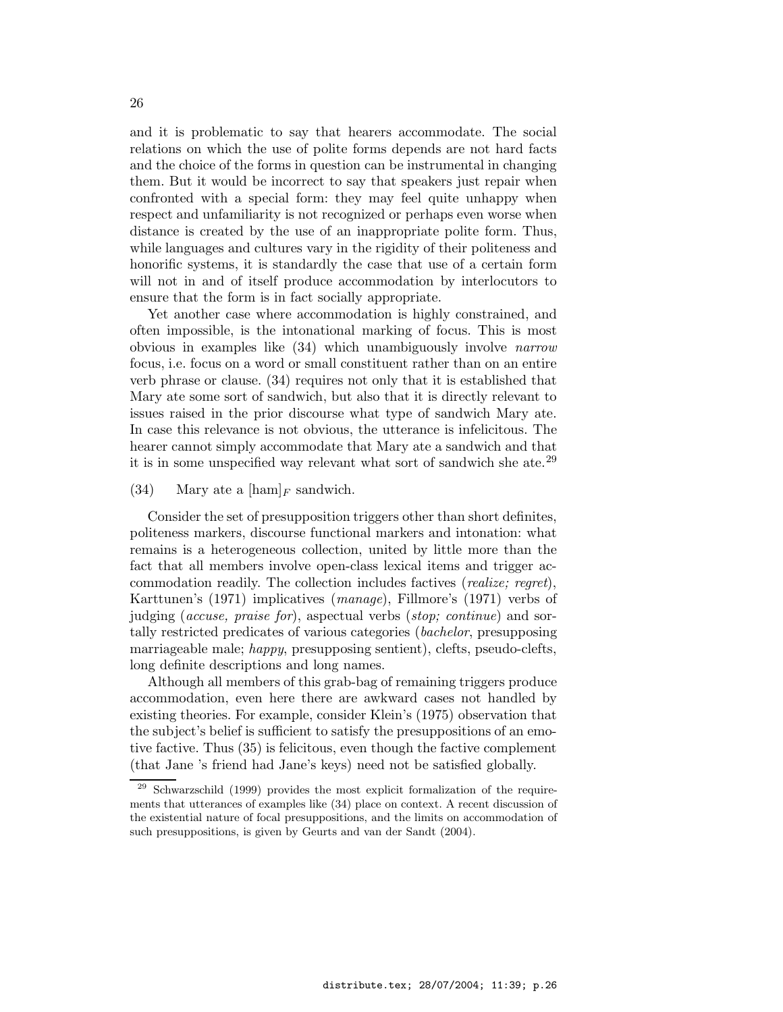and it is problematic to say that hearers accommodate. The social relations on which the use of polite forms depends are not hard facts and the choice of the forms in question can be instrumental in changing them. But it would be incorrect to say that speakers just repair when confronted with a special form: they may feel quite unhappy when respect and unfamiliarity is not recognized or perhaps even worse when distance is created by the use of an inappropriate polite form. Thus, while languages and cultures vary in the rigidity of their politeness and honorific systems, it is standardly the case that use of a certain form will not in and of itself produce accommodation by interlocutors to ensure that the form is in fact socially appropriate.

Yet another case where accommodation is highly constrained, and often impossible, is the intonational marking of focus. This is most obvious in examples like (34) which unambiguously involve narrow focus, i.e. focus on a word or small constituent rather than on an entire verb phrase or clause. (34) requires not only that it is established that Mary ate some sort of sandwich, but also that it is directly relevant to issues raised in the prior discourse what type of sandwich Mary ate. In case this relevance is not obvious, the utterance is infelicitous. The hearer cannot simply accommodate that Mary ate a sandwich and that it is in some unspecified way relevant what sort of sandwich she ate.<sup>29</sup>

(34) Mary ate a  $[\text{ham}]_F$  sandwich.

Consider the set of presupposition triggers other than short definites, politeness markers, discourse functional markers and intonation: what remains is a heterogeneous collection, united by little more than the fact that all members involve open-class lexical items and trigger accommodation readily. The collection includes factives (realize; regret), Karttunen's (1971) implicatives (manage), Fillmore's (1971) verbs of judging (accuse, praise for), aspectual verbs (stop; continue) and sortally restricted predicates of various categories (bachelor, presupposing marriageable male; happy, presupposing sentient), clefts, pseudo-clefts, long definite descriptions and long names.

Although all members of this grab-bag of remaining triggers produce accommodation, even here there are awkward cases not handled by existing theories. For example, consider Klein's (1975) observation that the subject's belief is sufficient to satisfy the presuppositions of an emotive factive. Thus (35) is felicitous, even though the factive complement (that Jane 's friend had Jane's keys) need not be satisfied globally.

 $\frac{29}{28}$  Schwarzschild (1999) provides the most explicit formalization of the requirements that utterances of examples like (34) place on context. A recent discussion of the existential nature of focal presuppositions, and the limits on accommodation of such presuppositions, is given by Geurts and van der Sandt (2004).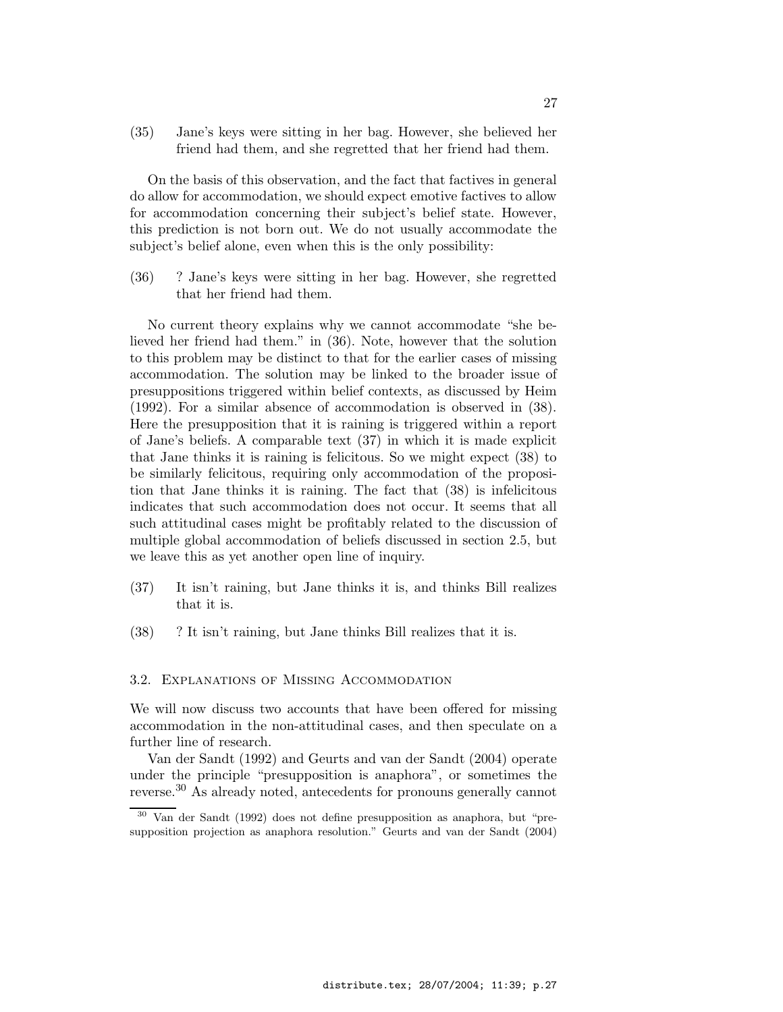(35) Jane's keys were sitting in her bag. However, she believed her friend had them, and she regretted that her friend had them.

On the basis of this observation, and the fact that factives in general do allow for accommodation, we should expect emotive factives to allow for accommodation concerning their subject's belief state. However, this prediction is not born out. We do not usually accommodate the subject's belief alone, even when this is the only possibility:

(36) ? Jane's keys were sitting in her bag. However, she regretted that her friend had them.

No current theory explains why we cannot accommodate "she believed her friend had them." in (36). Note, however that the solution to this problem may be distinct to that for the earlier cases of missing accommodation. The solution may be linked to the broader issue of presuppositions triggered within belief contexts, as discussed by Heim (1992). For a similar absence of accommodation is observed in (38). Here the presupposition that it is raining is triggered within a report of Jane's beliefs. A comparable text (37) in which it is made explicit that Jane thinks it is raining is felicitous. So we might expect (38) to be similarly felicitous, requiring only accommodation of the proposition that Jane thinks it is raining. The fact that (38) is infelicitous indicates that such accommodation does not occur. It seems that all such attitudinal cases might be profitably related to the discussion of multiple global accommodation of beliefs discussed in section 2.5, but we leave this as yet another open line of inquiry.

- (37) It isn't raining, but Jane thinks it is, and thinks Bill realizes that it is.
- (38) ? It isn't raining, but Jane thinks Bill realizes that it is.

#### 3.2. Explanations of Missing Accommodation

We will now discuss two accounts that have been offered for missing accommodation in the non-attitudinal cases, and then speculate on a further line of research.

Van der Sandt (1992) and Geurts and van der Sandt (2004) operate under the principle "presupposition is anaphora", or sometimes the reverse.<sup>30</sup> As already noted, antecedents for pronouns generally cannot

<sup>30</sup> Van der Sandt (1992) does not define presupposition as anaphora, but "presupposition projection as anaphora resolution." Geurts and van der Sandt (2004)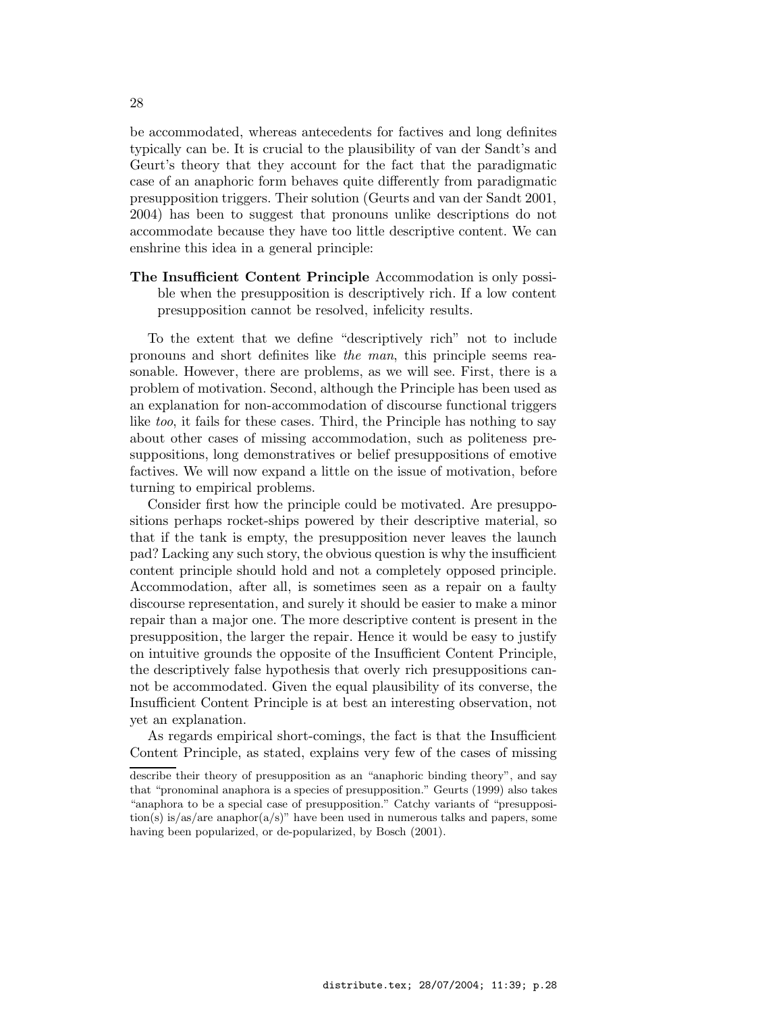be accommodated, whereas antecedents for factives and long definites typically can be. It is crucial to the plausibility of van der Sandt's and Geurt's theory that they account for the fact that the paradigmatic case of an anaphoric form behaves quite differently from paradigmatic presupposition triggers. Their solution (Geurts and van der Sandt 2001, 2004) has been to suggest that pronouns unlike descriptions do not accommodate because they have too little descriptive content. We can enshrine this idea in a general principle:

The Insufficient Content Principle Accommodation is only possible when the presupposition is descriptively rich. If a low content presupposition cannot be resolved, infelicity results.

To the extent that we define "descriptively rich" not to include pronouns and short definites like the man, this principle seems reasonable. However, there are problems, as we will see. First, there is a problem of motivation. Second, although the Principle has been used as an explanation for non-accommodation of discourse functional triggers like too, it fails for these cases. Third, the Principle has nothing to say about other cases of missing accommodation, such as politeness presuppositions, long demonstratives or belief presuppositions of emotive factives. We will now expand a little on the issue of motivation, before turning to empirical problems.

Consider first how the principle could be motivated. Are presuppositions perhaps rocket-ships powered by their descriptive material, so that if the tank is empty, the presupposition never leaves the launch pad? Lacking any such story, the obvious question is why the insufficient content principle should hold and not a completely opposed principle. Accommodation, after all, is sometimes seen as a repair on a faulty discourse representation, and surely it should be easier to make a minor repair than a major one. The more descriptive content is present in the presupposition, the larger the repair. Hence it would be easy to justify on intuitive grounds the opposite of the Insufficient Content Principle, the descriptively false hypothesis that overly rich presuppositions cannot be accommodated. Given the equal plausibility of its converse, the Insufficient Content Principle is at best an interesting observation, not yet an explanation.

As regards empirical short-comings, the fact is that the Insufficient Content Principle, as stated, explains very few of the cases of missing

describe their theory of presupposition as an "anaphoric binding theory", and say that "pronominal anaphora is a species of presupposition." Geurts (1999) also takes "anaphora to be a special case of presupposition." Catchy variants of "presupposition(s) is/as/are anaphor(a/s)" have been used in numerous talks and papers, some having been popularized, or de-popularized, by Bosch (2001).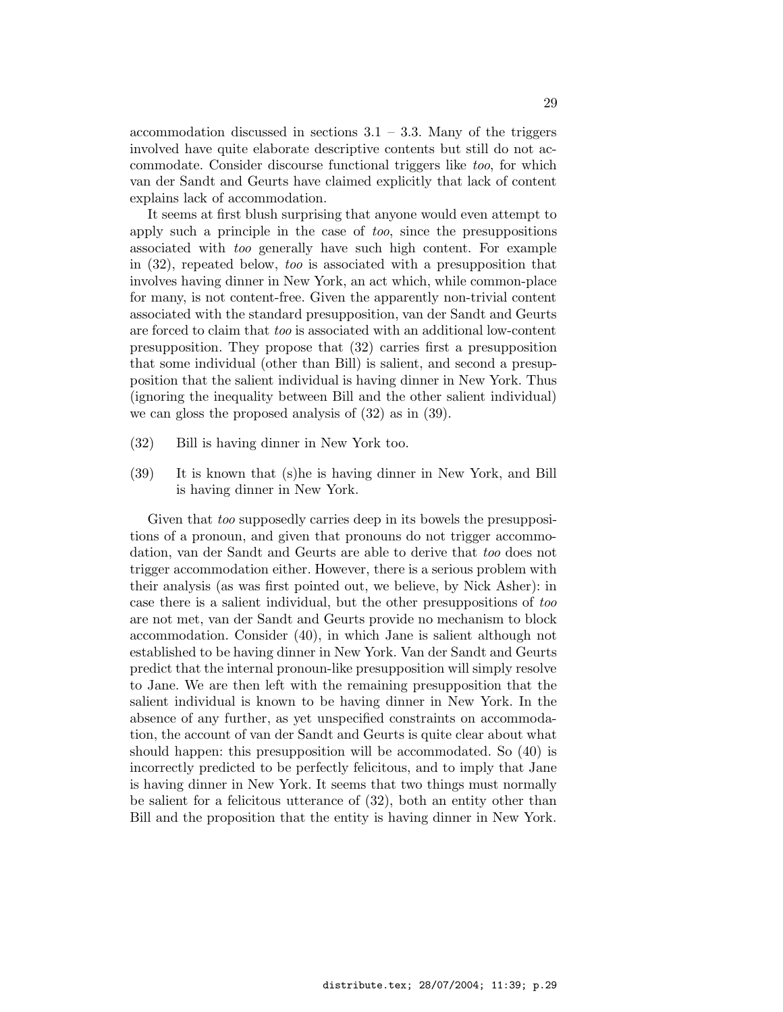accommodation discussed in sections  $3.1 - 3.3$ . Many of the triggers involved have quite elaborate descriptive contents but still do not accommodate. Consider discourse functional triggers like too, for which van der Sandt and Geurts have claimed explicitly that lack of content explains lack of accommodation.

It seems at first blush surprising that anyone would even attempt to apply such a principle in the case of *too*, since the presuppositions associated with too generally have such high content. For example in (32), repeated below, too is associated with a presupposition that involves having dinner in New York, an act which, while common-place for many, is not content-free. Given the apparently non-trivial content associated with the standard presupposition, van der Sandt and Geurts are forced to claim that too is associated with an additional low-content presupposition. They propose that (32) carries first a presupposition that some individual (other than Bill) is salient, and second a presupposition that the salient individual is having dinner in New York. Thus (ignoring the inequality between Bill and the other salient individual) we can gloss the proposed analysis of (32) as in (39).

- (32) Bill is having dinner in New York too.
- (39) It is known that (s)he is having dinner in New York, and Bill is having dinner in New York.

Given that *too* supposedly carries deep in its bowels the presuppositions of a pronoun, and given that pronouns do not trigger accommodation, van der Sandt and Geurts are able to derive that too does not trigger accommodation either. However, there is a serious problem with their analysis (as was first pointed out, we believe, by Nick Asher): in case there is a salient individual, but the other presuppositions of too are not met, van der Sandt and Geurts provide no mechanism to block accommodation. Consider (40), in which Jane is salient although not established to be having dinner in New York. Van der Sandt and Geurts predict that the internal pronoun-like presupposition will simply resolve to Jane. We are then left with the remaining presupposition that the salient individual is known to be having dinner in New York. In the absence of any further, as yet unspecified constraints on accommodation, the account of van der Sandt and Geurts is quite clear about what should happen: this presupposition will be accommodated. So (40) is incorrectly predicted to be perfectly felicitous, and to imply that Jane is having dinner in New York. It seems that two things must normally be salient for a felicitous utterance of (32), both an entity other than Bill and the proposition that the entity is having dinner in New York.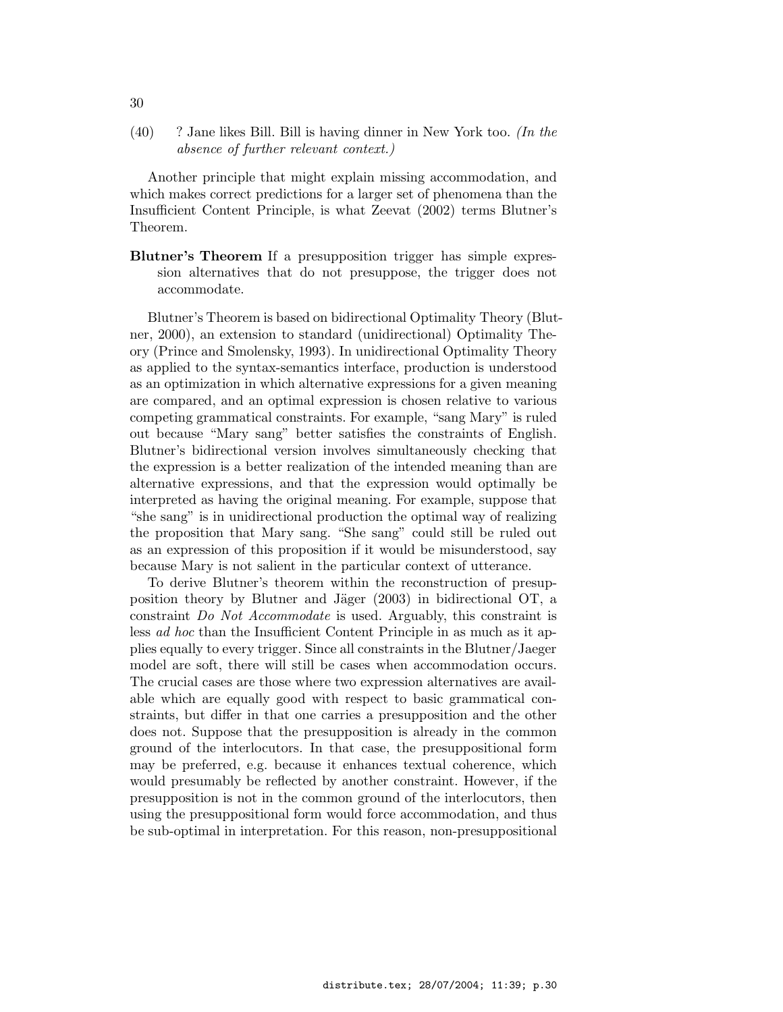$(40)$  ? Jane likes Bill. Bill is having dinner in New York too. (In the absence of further relevant context.)

Another principle that might explain missing accommodation, and which makes correct predictions for a larger set of phenomena than the Insufficient Content Principle, is what Zeevat (2002) terms Blutner's Theorem.

Blutner's Theorem If a presupposition trigger has simple expression alternatives that do not presuppose, the trigger does not accommodate.

Blutner's Theorem is based on bidirectional Optimality Theory (Blutner, 2000), an extension to standard (unidirectional) Optimality Theory (Prince and Smolensky, 1993). In unidirectional Optimality Theory as applied to the syntax-semantics interface, production is understood as an optimization in which alternative expressions for a given meaning are compared, and an optimal expression is chosen relative to various competing grammatical constraints. For example, "sang Mary" is ruled out because "Mary sang" better satisfies the constraints of English. Blutner's bidirectional version involves simultaneously checking that the expression is a better realization of the intended meaning than are alternative expressions, and that the expression would optimally be interpreted as having the original meaning. For example, suppose that "she sang" is in unidirectional production the optimal way of realizing the proposition that Mary sang. "She sang" could still be ruled out as an expression of this proposition if it would be misunderstood, say because Mary is not salient in the particular context of utterance.

To derive Blutner's theorem within the reconstruction of presupposition theory by Blutner and Jäger  $(2003)$  in bidirectional OT, a constraint Do Not Accommodate is used. Arguably, this constraint is less ad hoc than the Insufficient Content Principle in as much as it applies equally to every trigger. Since all constraints in the Blutner/Jaeger model are soft, there will still be cases when accommodation occurs. The crucial cases are those where two expression alternatives are available which are equally good with respect to basic grammatical constraints, but differ in that one carries a presupposition and the other does not. Suppose that the presupposition is already in the common ground of the interlocutors. In that case, the presuppositional form may be preferred, e.g. because it enhances textual coherence, which would presumably be reflected by another constraint. However, if the presupposition is not in the common ground of the interlocutors, then using the presuppositional form would force accommodation, and thus be sub-optimal in interpretation. For this reason, non-presuppositional

30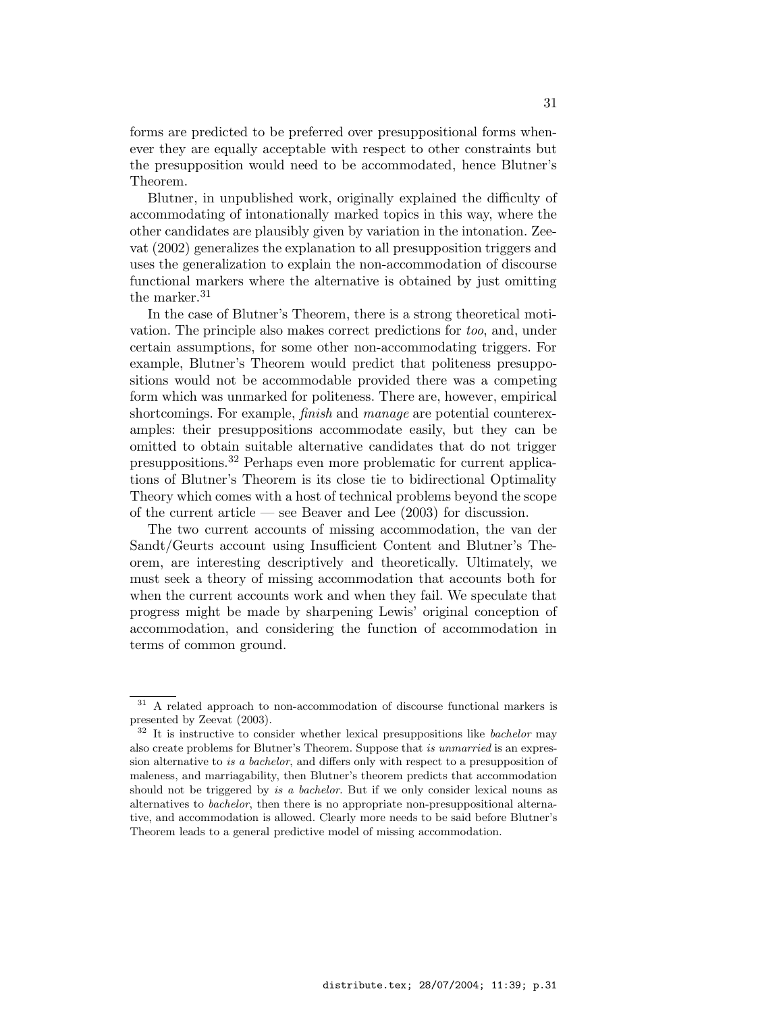forms are predicted to be preferred over presuppositional forms whenever they are equally acceptable with respect to other constraints but the presupposition would need to be accommodated, hence Blutner's Theorem.

Blutner, in unpublished work, originally explained the difficulty of accommodating of intonationally marked topics in this way, where the other candidates are plausibly given by variation in the intonation. Zeevat (2002) generalizes the explanation to all presupposition triggers and uses the generalization to explain the non-accommodation of discourse functional markers where the alternative is obtained by just omitting the marker.<sup>31</sup>

In the case of Blutner's Theorem, there is a strong theoretical motivation. The principle also makes correct predictions for too, and, under certain assumptions, for some other non-accommodating triggers. For example, Blutner's Theorem would predict that politeness presuppositions would not be accommodable provided there was a competing form which was unmarked for politeness. There are, however, empirical shortcomings. For example, finish and manage are potential counterexamples: their presuppositions accommodate easily, but they can be omitted to obtain suitable alternative candidates that do not trigger presuppositions.<sup>32</sup> Perhaps even more problematic for current applications of Blutner's Theorem is its close tie to bidirectional Optimality Theory which comes with a host of technical problems beyond the scope of the current article — see Beaver and Lee (2003) for discussion.

The two current accounts of missing accommodation, the van der Sandt/Geurts account using Insufficient Content and Blutner's Theorem, are interesting descriptively and theoretically. Ultimately, we must seek a theory of missing accommodation that accounts both for when the current accounts work and when they fail. We speculate that progress might be made by sharpening Lewis' original conception of accommodation, and considering the function of accommodation in terms of common ground.

<sup>&</sup>lt;sup>31</sup> A related approach to non-accommodation of discourse functional markers is presented by Zeevat (2003).

 $32$  It is instructive to consider whether lexical presuppositions like *bachelor* may also create problems for Blutner's Theorem. Suppose that is unmarried is an expression alternative to is a bachelor, and differs only with respect to a presupposition of maleness, and marriagability, then Blutner's theorem predicts that accommodation should not be triggered by is a bachelor. But if we only consider lexical nouns as alternatives to bachelor, then there is no appropriate non-presuppositional alternative, and accommodation is allowed. Clearly more needs to be said before Blutner's Theorem leads to a general predictive model of missing accommodation.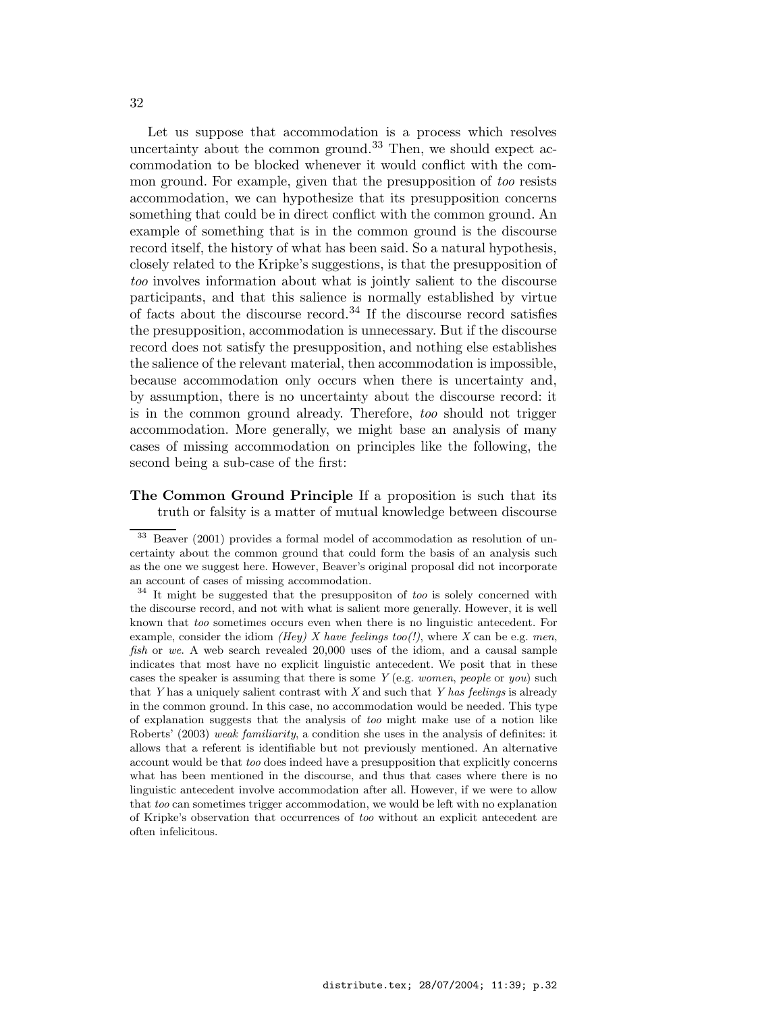Let us suppose that accommodation is a process which resolves uncertainty about the common ground.<sup>33</sup> Then, we should expect accommodation to be blocked whenever it would conflict with the common ground. For example, given that the presupposition of too resists accommodation, we can hypothesize that its presupposition concerns something that could be in direct conflict with the common ground. An example of something that is in the common ground is the discourse record itself, the history of what has been said. So a natural hypothesis, closely related to the Kripke's suggestions, is that the presupposition of too involves information about what is jointly salient to the discourse participants, and that this salience is normally established by virtue of facts about the discourse record.<sup>34</sup> If the discourse record satisfies the presupposition, accommodation is unnecessary. But if the discourse record does not satisfy the presupposition, and nothing else establishes the salience of the relevant material, then accommodation is impossible, because accommodation only occurs when there is uncertainty and, by assumption, there is no uncertainty about the discourse record: it is in the common ground already. Therefore, too should not trigger accommodation. More generally, we might base an analysis of many cases of missing accommodation on principles like the following, the second being a sub-case of the first:

### The Common Ground Principle If a proposition is such that its truth or falsity is a matter of mutual knowledge between discourse

<sup>33</sup> Beaver (2001) provides a formal model of accommodation as resolution of uncertainty about the common ground that could form the basis of an analysis such as the one we suggest here. However, Beaver's original proposal did not incorporate an account of cases of missing accommodation.

 $34$  It might be suggested that the presuppositon of too is solely concerned with the discourse record, and not with what is salient more generally. However, it is well known that too sometimes occurs even when there is no linguistic antecedent. For example, consider the idiom *(Hey) X have feelings too(!)*, where X can be e.g. men, fish or we. A web search revealed 20,000 uses of the idiom, and a causal sample indicates that most have no explicit linguistic antecedent. We posit that in these cases the speaker is assuming that there is some  $Y$  (e.g. *women, people* or *you*) such that Y has a uniquely salient contrast with X and such that Y has feelings is already in the common ground. In this case, no accommodation would be needed. This type of explanation suggests that the analysis of too might make use of a notion like Roberts' (2003) weak familiarity, a condition she uses in the analysis of definites: it allows that a referent is identifiable but not previously mentioned. An alternative account would be that too does indeed have a presupposition that explicitly concerns what has been mentioned in the discourse, and thus that cases where there is no linguistic antecedent involve accommodation after all. However, if we were to allow that too can sometimes trigger accommodation, we would be left with no explanation of Kripke's observation that occurrences of too without an explicit antecedent are often infelicitous.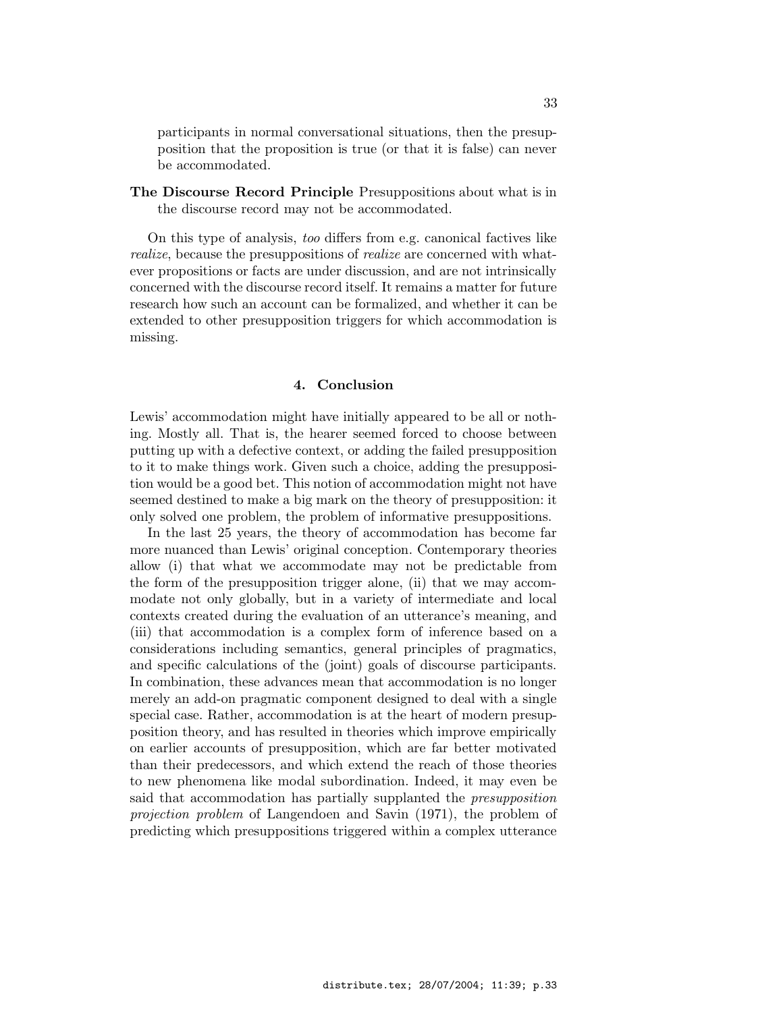participants in normal conversational situations, then the presupposition that the proposition is true (or that it is false) can never be accommodated.

The Discourse Record Principle Presuppositions about what is in the discourse record may not be accommodated.

On this type of analysis, too differs from e.g. canonical factives like realize, because the presuppositions of *realize* are concerned with whatever propositions or facts are under discussion, and are not intrinsically concerned with the discourse record itself. It remains a matter for future research how such an account can be formalized, and whether it can be extended to other presupposition triggers for which accommodation is missing.

#### 4. Conclusion

Lewis' accommodation might have initially appeared to be all or nothing. Mostly all. That is, the hearer seemed forced to choose between putting up with a defective context, or adding the failed presupposition to it to make things work. Given such a choice, adding the presupposition would be a good bet. This notion of accommodation might not have seemed destined to make a big mark on the theory of presupposition: it only solved one problem, the problem of informative presuppositions.

In the last 25 years, the theory of accommodation has become far more nuanced than Lewis' original conception. Contemporary theories allow (i) that what we accommodate may not be predictable from the form of the presupposition trigger alone, (ii) that we may accommodate not only globally, but in a variety of intermediate and local contexts created during the evaluation of an utterance's meaning, and (iii) that accommodation is a complex form of inference based on a considerations including semantics, general principles of pragmatics, and specific calculations of the (joint) goals of discourse participants. In combination, these advances mean that accommodation is no longer merely an add-on pragmatic component designed to deal with a single special case. Rather, accommodation is at the heart of modern presupposition theory, and has resulted in theories which improve empirically on earlier accounts of presupposition, which are far better motivated than their predecessors, and which extend the reach of those theories to new phenomena like modal subordination. Indeed, it may even be said that accommodation has partially supplanted the presupposition projection problem of Langendoen and Savin (1971), the problem of predicting which presuppositions triggered within a complex utterance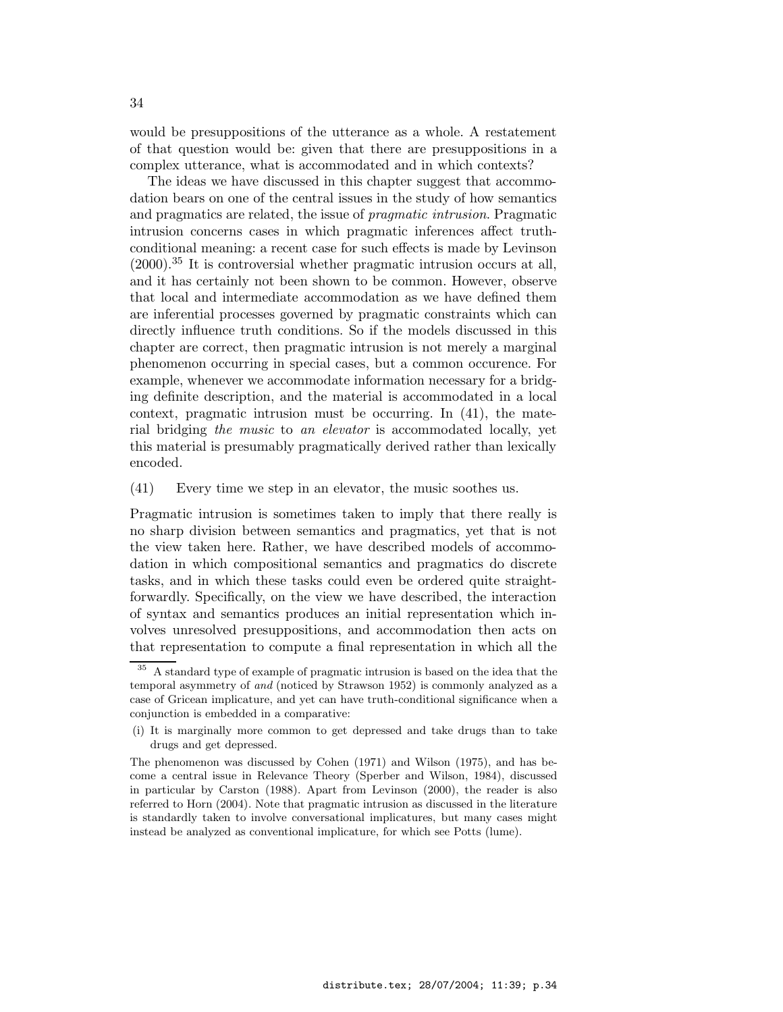would be presuppositions of the utterance as a whole. A restatement of that question would be: given that there are presuppositions in a complex utterance, what is accommodated and in which contexts?

The ideas we have discussed in this chapter suggest that accommodation bears on one of the central issues in the study of how semantics and pragmatics are related, the issue of pragmatic intrusion. Pragmatic intrusion concerns cases in which pragmatic inferences affect truthconditional meaning: a recent case for such effects is made by Levinson  $(2000)$ <sup>35</sup> It is controversial whether pragmatic intrusion occurs at all, and it has certainly not been shown to be common. However, observe that local and intermediate accommodation as we have defined them are inferential processes governed by pragmatic constraints which can directly influence truth conditions. So if the models discussed in this chapter are correct, then pragmatic intrusion is not merely a marginal phenomenon occurring in special cases, but a common occurence. For example, whenever we accommodate information necessary for a bridging definite description, and the material is accommodated in a local context, pragmatic intrusion must be occurring. In (41), the material bridging the music to an elevator is accommodated locally, yet this material is presumably pragmatically derived rather than lexically encoded.

(41) Every time we step in an elevator, the music soothes us.

Pragmatic intrusion is sometimes taken to imply that there really is no sharp division between semantics and pragmatics, yet that is not the view taken here. Rather, we have described models of accommodation in which compositional semantics and pragmatics do discrete tasks, and in which these tasks could even be ordered quite straightforwardly. Specifically, on the view we have described, the interaction of syntax and semantics produces an initial representation which involves unresolved presuppositions, and accommodation then acts on that representation to compute a final representation in which all the

<sup>&</sup>lt;sup>35</sup> A standard type of example of pragmatic intrusion is based on the idea that the temporal asymmetry of and (noticed by Strawson 1952) is commonly analyzed as a case of Gricean implicature, and yet can have truth-conditional significance when a conjunction is embedded in a comparative:

<sup>(</sup>i) It is marginally more common to get depressed and take drugs than to take drugs and get depressed.

The phenomenon was discussed by Cohen (1971) and Wilson (1975), and has become a central issue in Relevance Theory (Sperber and Wilson, 1984), discussed in particular by Carston (1988). Apart from Levinson (2000), the reader is also referred to Horn (2004). Note that pragmatic intrusion as discussed in the literature is standardly taken to involve conversational implicatures, but many cases might instead be analyzed as conventional implicature, for which see Potts (lume).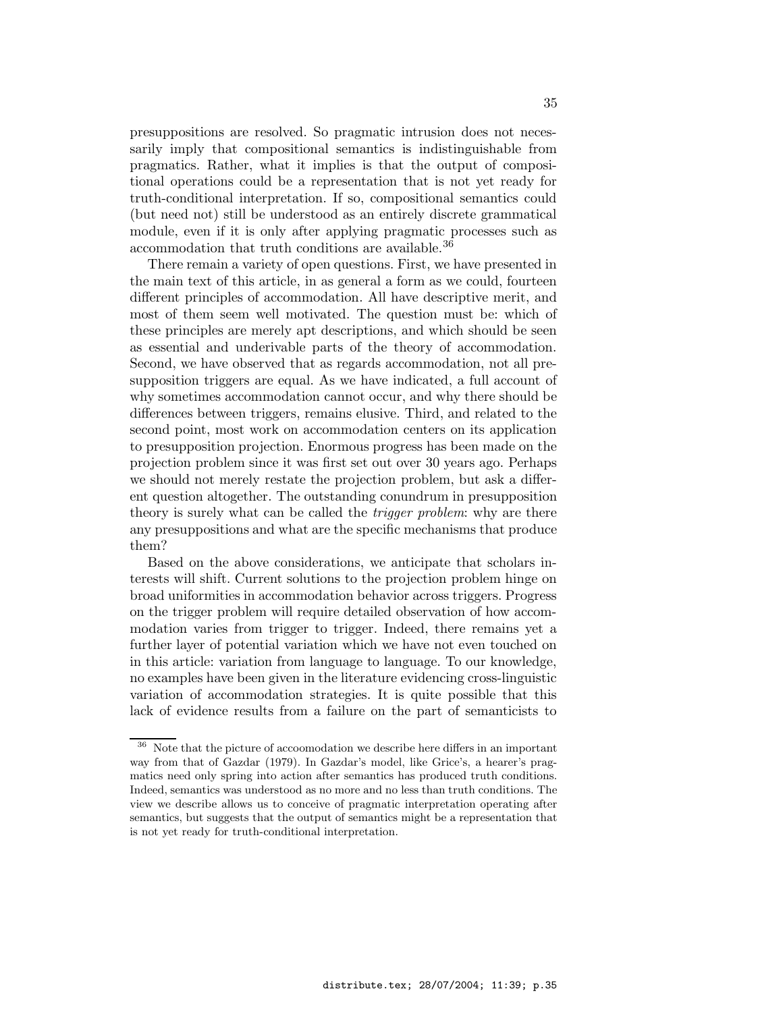presuppositions are resolved. So pragmatic intrusion does not necessarily imply that compositional semantics is indistinguishable from pragmatics. Rather, what it implies is that the output of compositional operations could be a representation that is not yet ready for truth-conditional interpretation. If so, compositional semantics could (but need not) still be understood as an entirely discrete grammatical module, even if it is only after applying pragmatic processes such as accommodation that truth conditions are available.<sup>36</sup>

There remain a variety of open questions. First, we have presented in the main text of this article, in as general a form as we could, fourteen different principles of accommodation. All have descriptive merit, and most of them seem well motivated. The question must be: which of these principles are merely apt descriptions, and which should be seen as essential and underivable parts of the theory of accommodation. Second, we have observed that as regards accommodation, not all presupposition triggers are equal. As we have indicated, a full account of why sometimes accommodation cannot occur, and why there should be differences between triggers, remains elusive. Third, and related to the second point, most work on accommodation centers on its application to presupposition projection. Enormous progress has been made on the projection problem since it was first set out over 30 years ago. Perhaps we should not merely restate the projection problem, but ask a different question altogether. The outstanding conundrum in presupposition theory is surely what can be called the *trigger problem*: why are there any presuppositions and what are the specific mechanisms that produce them?

Based on the above considerations, we anticipate that scholars interests will shift. Current solutions to the projection problem hinge on broad uniformities in accommodation behavior across triggers. Progress on the trigger problem will require detailed observation of how accommodation varies from trigger to trigger. Indeed, there remains yet a further layer of potential variation which we have not even touched on in this article: variation from language to language. To our knowledge, no examples have been given in the literature evidencing cross-linguistic variation of accommodation strategies. It is quite possible that this lack of evidence results from a failure on the part of semanticists to

<sup>36</sup> Note that the picture of accoomodation we describe here differs in an important way from that of Gazdar (1979). In Gazdar's model, like Grice's, a hearer's pragmatics need only spring into action after semantics has produced truth conditions. Indeed, semantics was understood as no more and no less than truth conditions. The view we describe allows us to conceive of pragmatic interpretation operating after semantics, but suggests that the output of semantics might be a representation that is not yet ready for truth-conditional interpretation.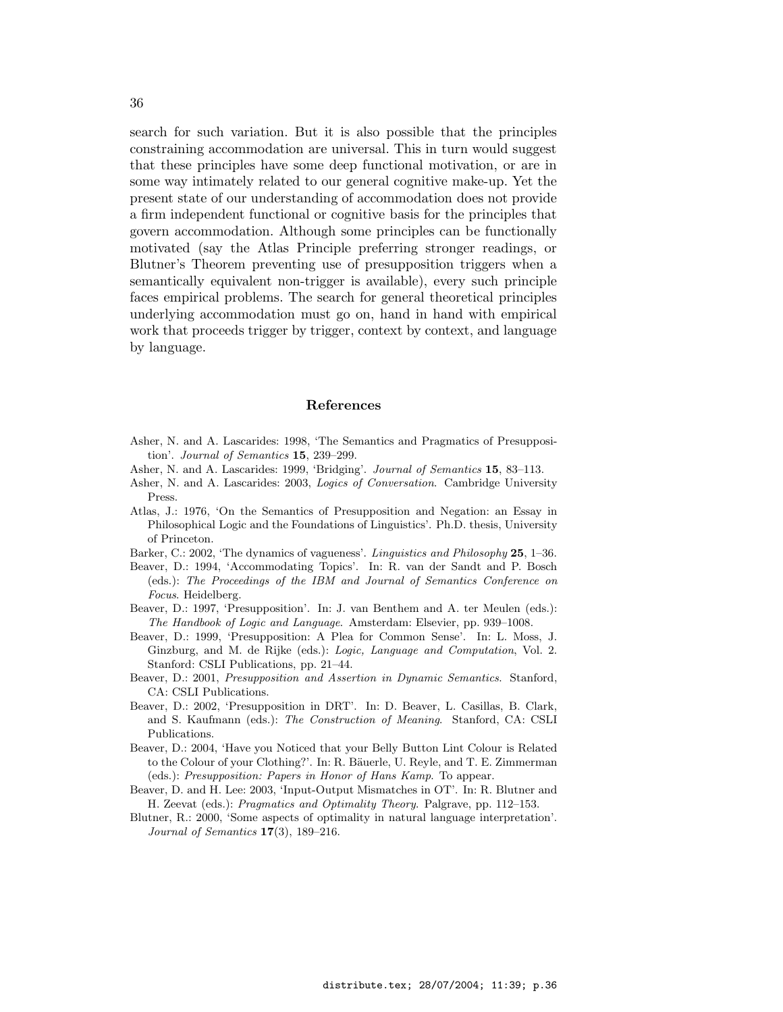search for such variation. But it is also possible that the principles constraining accommodation are universal. This in turn would suggest that these principles have some deep functional motivation, or are in some way intimately related to our general cognitive make-up. Yet the present state of our understanding of accommodation does not provide a firm independent functional or cognitive basis for the principles that govern accommodation. Although some principles can be functionally motivated (say the Atlas Principle preferring stronger readings, or Blutner's Theorem preventing use of presupposition triggers when a semantically equivalent non-trigger is available), every such principle faces empirical problems. The search for general theoretical principles underlying accommodation must go on, hand in hand with empirical work that proceeds trigger by trigger, context by context, and language by language.

#### References

- Asher, N. and A. Lascarides: 1998, 'The Semantics and Pragmatics of Presupposition'. Journal of Semantics 15, 239–299.
- Asher, N. and A. Lascarides: 1999, 'Bridging'. Journal of Semantics 15, 83-113.
- Asher, N. and A. Lascarides: 2003, Logics of Conversation. Cambridge University Press.
- Atlas, J.: 1976, 'On the Semantics of Presupposition and Negation: an Essay in Philosophical Logic and the Foundations of Linguistics'. Ph.D. thesis, University of Princeton.
- Barker, C.: 2002, 'The dynamics of vagueness'. *Linguistics and Philosophy* 25, 1–36.
- Beaver, D.: 1994, 'Accommodating Topics'. In: R. van der Sandt and P. Bosch (eds.): The Proceedings of the IBM and Journal of Semantics Conference on Focus. Heidelberg.
- Beaver, D.: 1997, 'Presupposition'. In: J. van Benthem and A. ter Meulen (eds.): The Handbook of Logic and Language. Amsterdam: Elsevier, pp. 939–1008.
- Beaver, D.: 1999, 'Presupposition: A Plea for Common Sense'. In: L. Moss, J. Ginzburg, and M. de Rijke (eds.): Logic, Language and Computation, Vol. 2. Stanford: CSLI Publications, pp. 21–44.
- Beaver, D.: 2001, Presupposition and Assertion in Dynamic Semantics. Stanford, CA: CSLI Publications.
- Beaver, D.: 2002, 'Presupposition in DRT'. In: D. Beaver, L. Casillas, B. Clark, and S. Kaufmann (eds.): The Construction of Meaning. Stanford, CA: CSLI Publications.
- Beaver, D.: 2004, 'Have you Noticed that your Belly Button Lint Colour is Related to the Colour of your Clothing?'. In: R. Bäuerle, U. Reyle, and T. E. Zimmerman (eds.): Presupposition: Papers in Honor of Hans Kamp. To appear.
- Beaver, D. and H. Lee: 2003, 'Input-Output Mismatches in OT'. In: R. Blutner and H. Zeevat (eds.): Pragmatics and Optimality Theory. Palgrave, pp. 112–153.
- Blutner, R.: 2000, 'Some aspects of optimality in natural language interpretation'. Journal of Semantics  $17(3)$ ,  $189-216$ .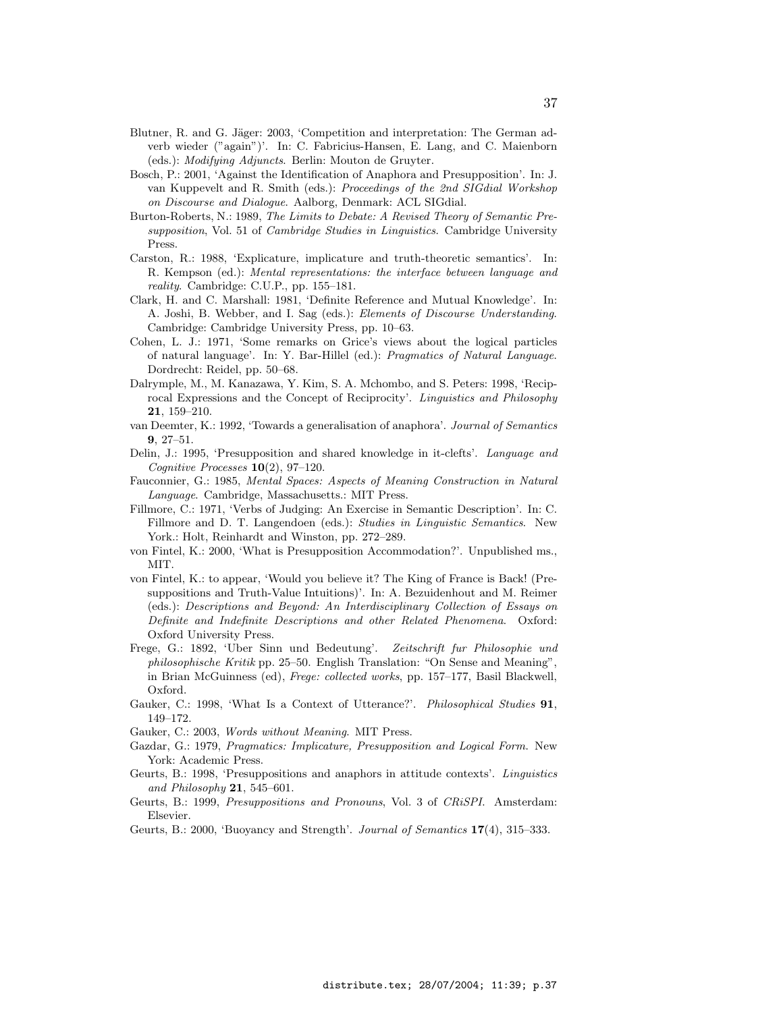- Blutner, R. and G. Jäger: 2003, 'Competition and interpretation: The German adverb wieder ("again")'. In: C. Fabricius-Hansen, E. Lang, and C. Maienborn (eds.): Modifying Adjuncts. Berlin: Mouton de Gruyter.
- Bosch, P.: 2001, 'Against the Identification of Anaphora and Presupposition'. In: J. van Kuppevelt and R. Smith (eds.): Proceedings of the 2nd SIGdial Workshop on Discourse and Dialogue. Aalborg, Denmark: ACL SIGdial.
- Burton-Roberts, N.: 1989, The Limits to Debate: A Revised Theory of Semantic Presupposition, Vol. 51 of *Cambridge Studies in Linguistics*. Cambridge University Press.
- Carston, R.: 1988, 'Explicature, implicature and truth-theoretic semantics'. In: R. Kempson (ed.): Mental representations: the interface between language and reality. Cambridge: C.U.P., pp. 155–181.
- Clark, H. and C. Marshall: 1981, 'Definite Reference and Mutual Knowledge'. In: A. Joshi, B. Webber, and I. Sag (eds.): Elements of Discourse Understanding. Cambridge: Cambridge University Press, pp. 10–63.
- Cohen, L. J.: 1971, 'Some remarks on Grice's views about the logical particles of natural language'. In: Y. Bar-Hillel (ed.): Pragmatics of Natural Language. Dordrecht: Reidel, pp. 50–68.
- Dalrymple, M., M. Kanazawa, Y. Kim, S. A. Mchombo, and S. Peters: 1998, 'Reciprocal Expressions and the Concept of Reciprocity'. Linguistics and Philosophy 21, 159–210.
- van Deemter, K.: 1992, 'Towards a generalisation of anaphora'. Journal of Semantics 9, 27–51.
- Delin, J.: 1995, 'Presupposition and shared knowledge in it-clefts'. Language and Cognitive Processes 10(2), 97–120.
- Fauconnier, G.: 1985, Mental Spaces: Aspects of Meaning Construction in Natural Language. Cambridge, Massachusetts.: MIT Press.
- Fillmore, C.: 1971, 'Verbs of Judging: An Exercise in Semantic Description'. In: C. Fillmore and D. T. Langendoen (eds.): Studies in Linguistic Semantics. New York.: Holt, Reinhardt and Winston, pp. 272–289.
- von Fintel, K.: 2000, 'What is Presupposition Accommodation?'. Unpublished ms., MIT.
- von Fintel, K.: to appear, 'Would you believe it? The King of France is Back! (Presuppositions and Truth-Value Intuitions)'. In: A. Bezuidenhout and M. Reimer (eds.): Descriptions and Beyond: An Interdisciplinary Collection of Essays on Definite and Indefinite Descriptions and other Related Phenomena. Oxford: Oxford University Press.
- Frege, G.: 1892, 'Uber Sinn und Bedeutung'. Zeitschrift fur Philosophie und philosophische Kritik pp. 25–50. English Translation: "On Sense and Meaning", in Brian McGuinness (ed), Frege: collected works, pp. 157–177, Basil Blackwell, Oxford.
- Gauker, C.: 1998, 'What Is a Context of Utterance?'. Philosophical Studies 91, 149–172.
- Gauker, C.: 2003, Words without Meaning. MIT Press.
- Gazdar, G.: 1979, Pragmatics: Implicature, Presupposition and Logical Form. New York: Academic Press.
- Geurts, B.: 1998, 'Presuppositions and anaphors in attitude contexts'. Linguistics and Philosophy  $21, 545-601.$
- Geurts, B.: 1999, Presuppositions and Pronouns, Vol. 3 of CRiSPI. Amsterdam: Elsevier.
- Geurts, B.: 2000, 'Buoyancy and Strength'. Journal of Semantics 17(4), 315–333.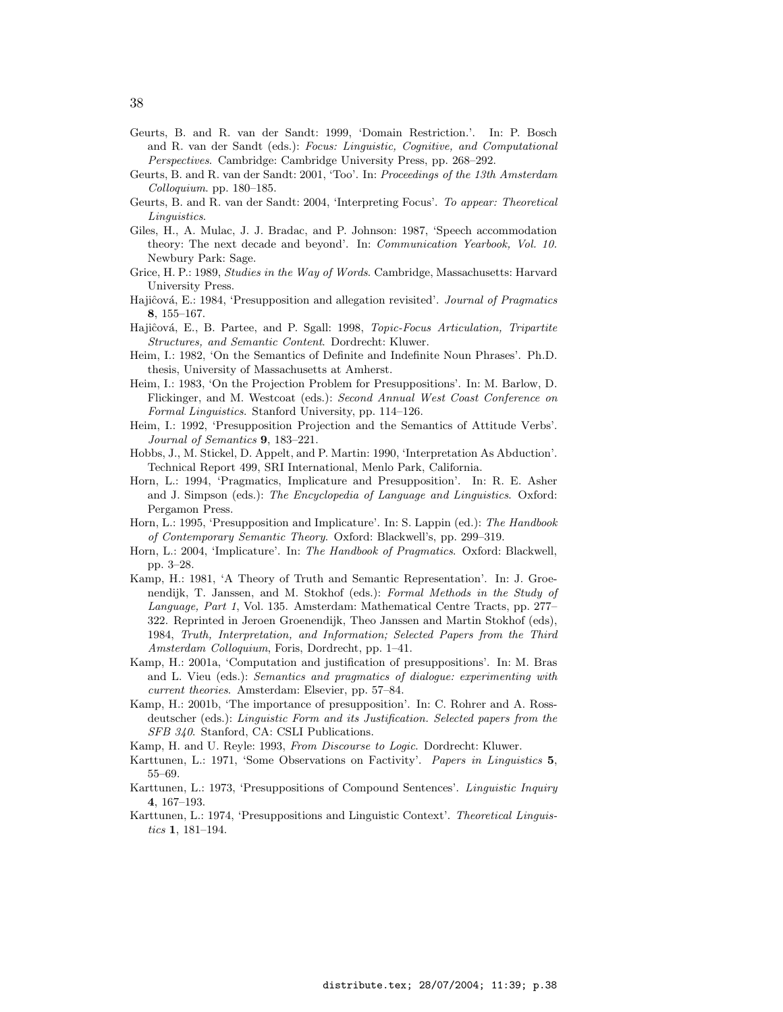- Geurts, B. and R. van der Sandt: 1999, 'Domain Restriction.'. In: P. Bosch and R. van der Sandt (eds.): Focus: Linguistic, Cognitive, and Computational Perspectives. Cambridge: Cambridge University Press, pp. 268–292.
- Geurts, B. and R. van der Sandt: 2001, 'Too'. In: Proceedings of the 13th Amsterdam Colloquium. pp. 180–185.
- Geurts, B. and R. van der Sandt: 2004, 'Interpreting Focus'. To appear: Theoretical Linguistics.
- Giles, H., A. Mulac, J. J. Bradac, and P. Johnson: 1987, 'Speech accommodation theory: The next decade and beyond'. In: Communication Yearbook, Vol. 10. Newbury Park: Sage.
- Grice, H. P.: 1989, Studies in the Way of Words. Cambridge, Massachusetts: Harvard University Press.
- Hajiĉová, E.: 1984, 'Presupposition and allegation revisited'. Journal of Pragmatics 8, 155–167.
- Hajiĉová, E., B. Partee, and P. Sgall: 1998, Topic-Focus Articulation, Tripartite Structures, and Semantic Content. Dordrecht: Kluwer.
- Heim, I.: 1982, 'On the Semantics of Definite and Indefinite Noun Phrases'. Ph.D. thesis, University of Massachusetts at Amherst.
- Heim, I.: 1983, 'On the Projection Problem for Presuppositions'. In: M. Barlow, D. Flickinger, and M. Westcoat (eds.): Second Annual West Coast Conference on Formal Linguistics. Stanford University, pp. 114–126.
- Heim, I.: 1992, 'Presupposition Projection and the Semantics of Attitude Verbs'. Journal of Semantics 9, 183–221.
- Hobbs, J., M. Stickel, D. Appelt, and P. Martin: 1990, 'Interpretation As Abduction'. Technical Report 499, SRI International, Menlo Park, California.
- Horn, L.: 1994, 'Pragmatics, Implicature and Presupposition'. In: R. E. Asher and J. Simpson (eds.): The Encyclopedia of Language and Linguistics. Oxford: Pergamon Press.
- Horn, L.: 1995, 'Presupposition and Implicature'. In: S. Lappin (ed.): The Handbook of Contemporary Semantic Theory. Oxford: Blackwell's, pp. 299–319.
- Horn, L.: 2004, 'Implicature'. In: The Handbook of Pragmatics. Oxford: Blackwell, pp. 3–28.
- Kamp, H.: 1981, 'A Theory of Truth and Semantic Representation'. In: J. Groenendijk, T. Janssen, and M. Stokhof (eds.): Formal Methods in the Study of Language, Part 1, Vol. 135. Amsterdam: Mathematical Centre Tracts, pp. 277– 322. Reprinted in Jeroen Groenendijk, Theo Janssen and Martin Stokhof (eds), 1984, Truth, Interpretation, and Information; Selected Papers from the Third Amsterdam Colloquium, Foris, Dordrecht, pp. 1–41.
- Kamp, H.: 2001a, 'Computation and justification of presuppositions'. In: M. Bras and L. Vieu (eds.): Semantics and pragmatics of dialogue: experimenting with current theories. Amsterdam: Elsevier, pp. 57–84.
- Kamp, H.: 2001b, 'The importance of presupposition'. In: C. Rohrer and A. Rossdeutscher (eds.): Linguistic Form and its Justification. Selected papers from the SFB 340. Stanford, CA: CSLI Publications.
- Kamp, H. and U. Reyle: 1993, From Discourse to Logic. Dordrecht: Kluwer.
- Karttunen, L.: 1971, 'Some Observations on Factivity'. Papers in Linguistics 5, 55–69.
- Karttunen, L.: 1973, 'Presuppositions of Compound Sentences'. Linguistic Inquiry 4, 167–193.
- Karttunen, L.: 1974, 'Presuppositions and Linguistic Context'. Theoretical Linguistics 1, 181–194.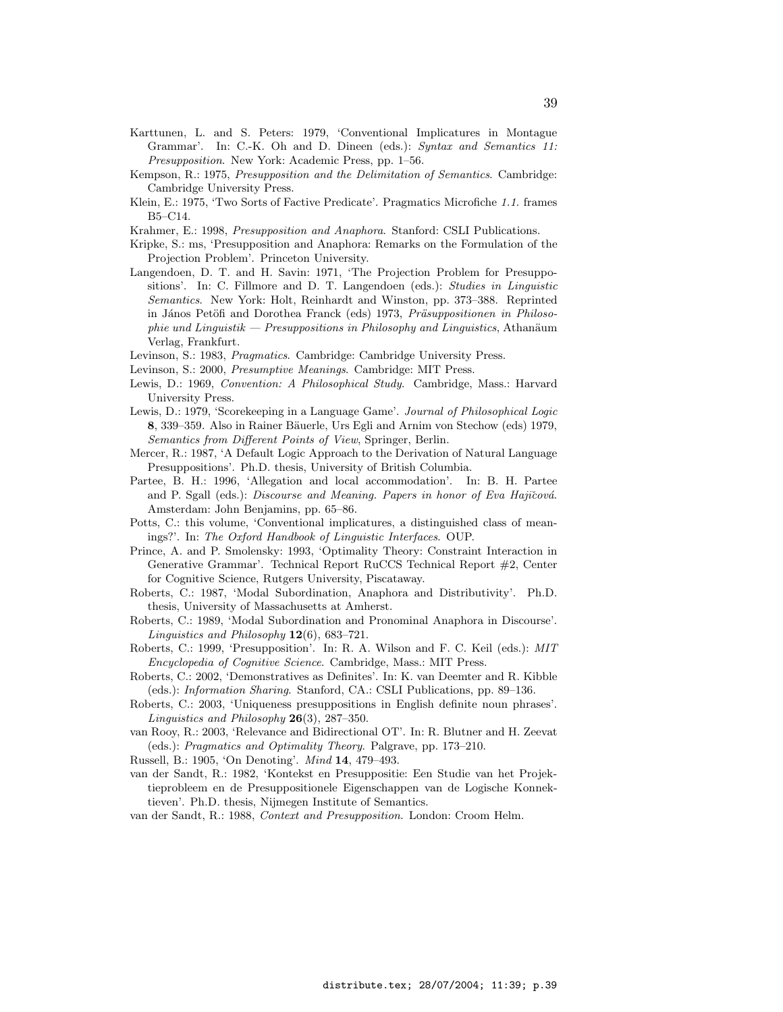- Karttunen, L. and S. Peters: 1979, 'Conventional Implicatures in Montague Grammar'. In: C.-K. Oh and D. Dineen (eds.): Syntax and Semantics 11: Presupposition. New York: Academic Press, pp. 1–56.
- Kempson, R.: 1975, Presupposition and the Delimitation of Semantics. Cambridge: Cambridge University Press.
- Klein, E.: 1975, 'Two Sorts of Factive Predicate'. Pragmatics Microfiche 1.1. frames B5–C14.
- Krahmer, E.: 1998, Presupposition and Anaphora. Stanford: CSLI Publications.
- Kripke, S.: ms, 'Presupposition and Anaphora: Remarks on the Formulation of the Projection Problem'. Princeton University.
- Langendoen, D. T. and H. Savin: 1971, 'The Projection Problem for Presuppositions'. In: C. Fillmore and D. T. Langendoen (eds.): Studies in Linguistic Semantics. New York: Holt, Reinhardt and Winston, pp. 373–388. Reprinted in János Petöfi and Dorothea Franck (eds) 1973, Präsuppositionen in Philosophie und Linguistik — Presuppositions in Philosophy and Linguistics, Athanäum Verlag, Frankfurt.
- Levinson, S.: 1983, Pragmatics. Cambridge: Cambridge University Press.
- Levinson, S.: 2000, *Presumptive Meanings*. Cambridge: MIT Press.
- Lewis, D.: 1969, Convention: A Philosophical Study. Cambridge, Mass.: Harvard University Press.
- Lewis, D.: 1979, 'Scorekeeping in a Language Game'. Journal of Philosophical Logic 8, 339–359. Also in Rainer Bäuerle, Urs Egli and Arnim von Stechow (eds) 1979, Semantics from Different Points of View, Springer, Berlin.
- Mercer, R.: 1987, 'A Default Logic Approach to the Derivation of Natural Language Presuppositions'. Ph.D. thesis, University of British Columbia.
- Partee, B. H.: 1996, 'Allegation and local accommodation'. In: B. H. Partee and P. Sgall (eds.): Discourse and Meaning. Papers in honor of Eva Hajičová. Amsterdam: John Benjamins, pp. 65–86.
- Potts, C.: this volume, 'Conventional implicatures, a distinguished class of meanings?'. In: The Oxford Handbook of Linguistic Interfaces. OUP.
- Prince, A. and P. Smolensky: 1993, 'Optimality Theory: Constraint Interaction in Generative Grammar'. Technical Report RuCCS Technical Report #2, Center for Cognitive Science, Rutgers University, Piscataway.
- Roberts, C.: 1987, 'Modal Subordination, Anaphora and Distributivity'. Ph.D. thesis, University of Massachusetts at Amherst.
- Roberts, C.: 1989, 'Modal Subordination and Pronominal Anaphora in Discourse'. Linguistics and Philosophy  $12(6)$ , 683–721.
- Roberts, C.: 1999, 'Presupposition'. In: R. A. Wilson and F. C. Keil (eds.): MIT Encyclopedia of Cognitive Science. Cambridge, Mass.: MIT Press.
- Roberts, C.: 2002, 'Demonstratives as Definites'. In: K. van Deemter and R. Kibble (eds.): Information Sharing. Stanford, CA.: CSLI Publications, pp. 89–136.
- Roberts, C.: 2003, 'Uniqueness presuppositions in English definite noun phrases'. Linguistics and Philosophy  $26(3)$ , 287-350.
- van Rooy, R.: 2003, 'Relevance and Bidirectional OT'. In: R. Blutner and H. Zeevat (eds.): Pragmatics and Optimality Theory. Palgrave, pp. 173–210.
- Russell, B.: 1905, 'On Denoting'. Mind 14, 479–493.
- van der Sandt, R.: 1982, 'Kontekst en Presuppositie: Een Studie van het Projektieprobleem en de Presuppositionele Eigenschappen van de Logische Konnektieven'. Ph.D. thesis, Nijmegen Institute of Semantics.
- van der Sandt, R.: 1988, Context and Presupposition. London: Croom Helm.